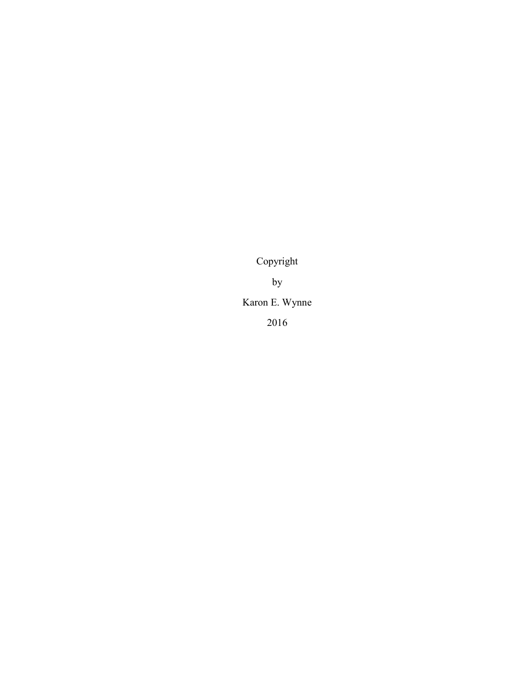Copyright by Karon E. Wynne 2016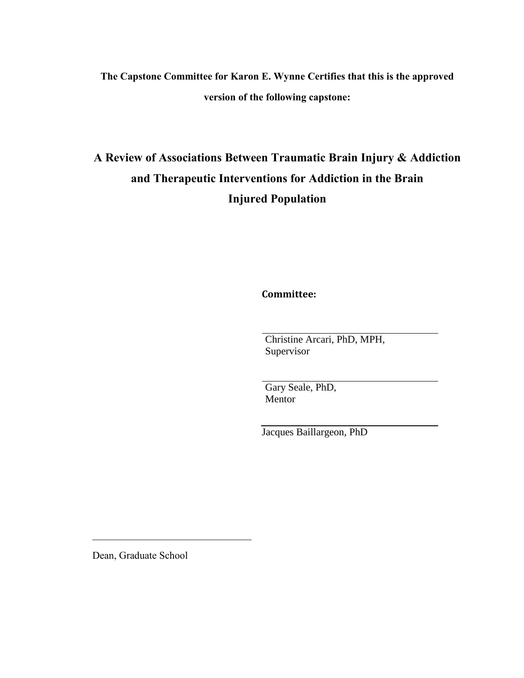# **The Capstone Committee for Karon E. Wynne Certifies that this is the approved version of the following capstone:**

# **A Review of Associations Between Traumatic Brain Injury & Addiction and Therapeutic Interventions for Addiction in the Brain Injured Population**

**Committee:**

Christine Arcari, PhD, MPH, Supervisor

Gary Seale, PhD, Mentor

Jacques Baillargeon, PhD

Dean, Graduate School

 $\mathcal{L}_\text{max}$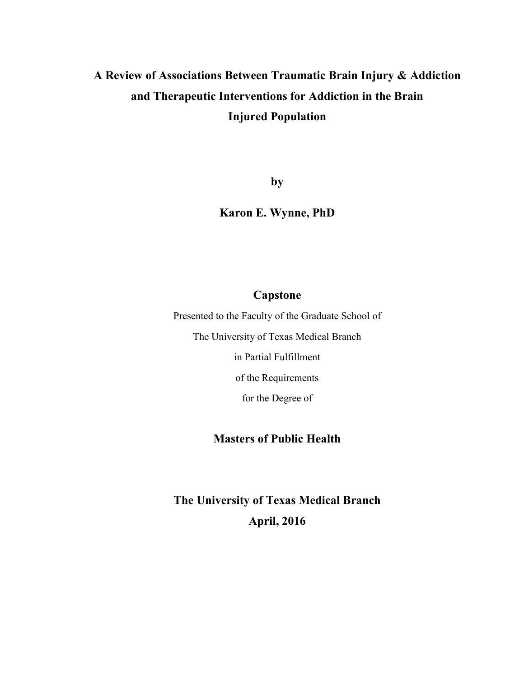# **A Review of Associations Between Traumatic Brain Injury & Addiction and Therapeutic Interventions for Addiction in the Brain Injured Population**

**by**

**Karon E. Wynne, PhD**

## **Capstone**

Presented to the Faculty of the Graduate School of The University of Texas Medical Branch in Partial Fulfillment of the Requirements

for the Degree of

## **Masters of Public Health**

**The University of Texas Medical Branch April, 2016**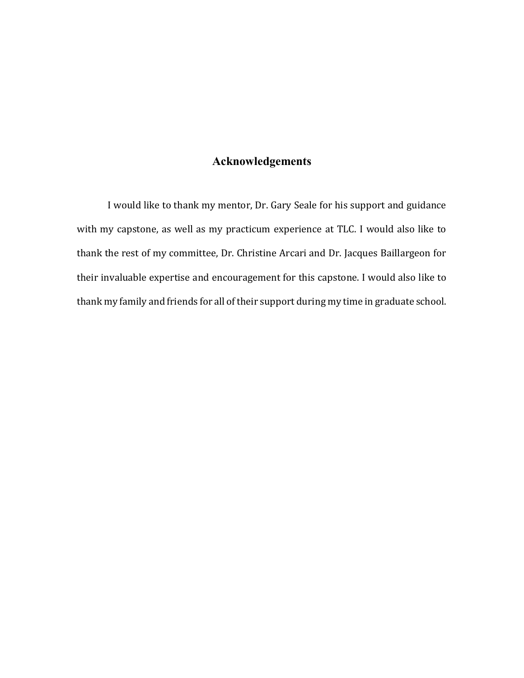## **Acknowledgements**

I would like to thank my mentor, Dr. Gary Seale for his support and guidance with my capstone, as well as my practicum experience at TLC. I would also like to thank the rest of my committee, Dr. Christine Arcari and Dr. Jacques Baillargeon for their invaluable expertise and encouragement for this capstone. I would also like to thank my family and friends for all of their support during my time in graduate school.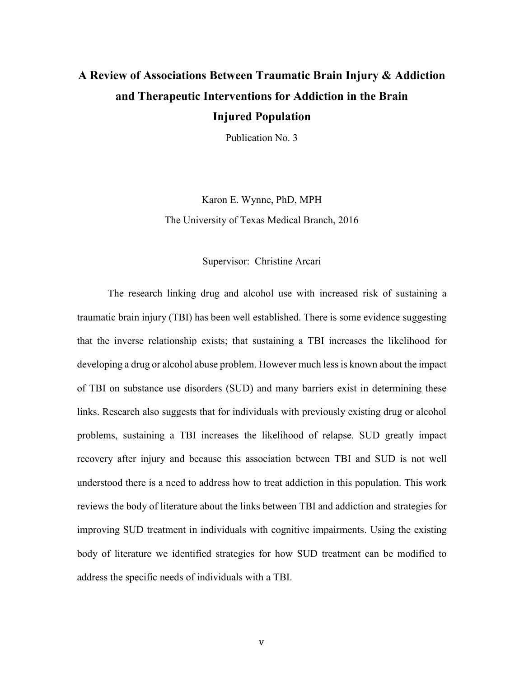# **A Review of Associations Between Traumatic Brain Injury & Addiction and Therapeutic Interventions for Addiction in the Brain Injured Population**

Publication No. 3

Karon E. Wynne, PhD, MPH The University of Texas Medical Branch, 2016

#### Supervisor: Christine Arcari

The research linking drug and alcohol use with increased risk of sustaining a traumatic brain injury (TBI) has been well established. There is some evidence suggesting that the inverse relationship exists; that sustaining a TBI increases the likelihood for developing a drug or alcohol abuse problem. However much less is known about the impact of TBI on substance use disorders (SUD) and many barriers exist in determining these links. Research also suggests that for individuals with previously existing drug or alcohol problems, sustaining a TBI increases the likelihood of relapse. SUD greatly impact recovery after injury and because this association between TBI and SUD is not well understood there is a need to address how to treat addiction in this population. This work reviews the body of literature about the links between TBI and addiction and strategies for improving SUD treatment in individuals with cognitive impairments. Using the existing body of literature we identified strategies for how SUD treatment can be modified to address the specific needs of individuals with a TBI.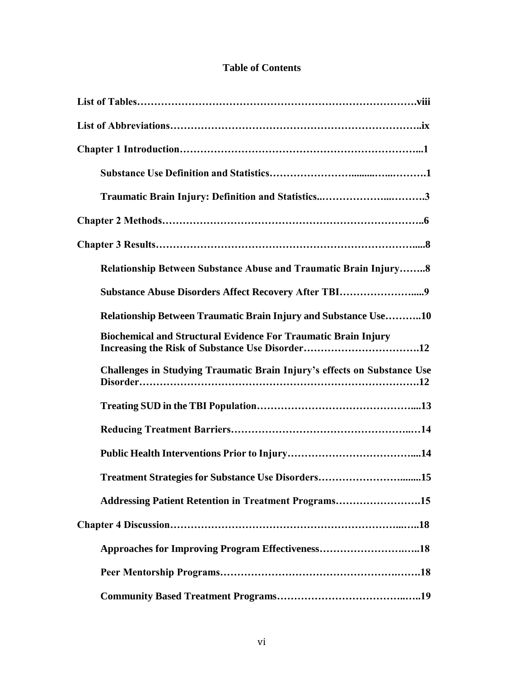# **Table of Contents**

| <b>Relationship Between Substance Abuse and Traumatic Brain Injury8</b>  |
|--------------------------------------------------------------------------|
| Substance Abuse Disorders Affect Recovery After TBI9                     |
| <b>Relationship Between Traumatic Brain Injury and Substance Use10</b>   |
| <b>Biochemical and Structural Evidence For Traumatic Brain Injury</b>    |
| Challenges in Studying Traumatic Brain Injury's effects on Substance Use |
|                                                                          |
|                                                                          |
|                                                                          |
| Treatment Strategies for Substance Use Disorders15                       |
| Addressing Patient Retention in Treatment Programs15                     |
|                                                                          |
|                                                                          |
|                                                                          |
|                                                                          |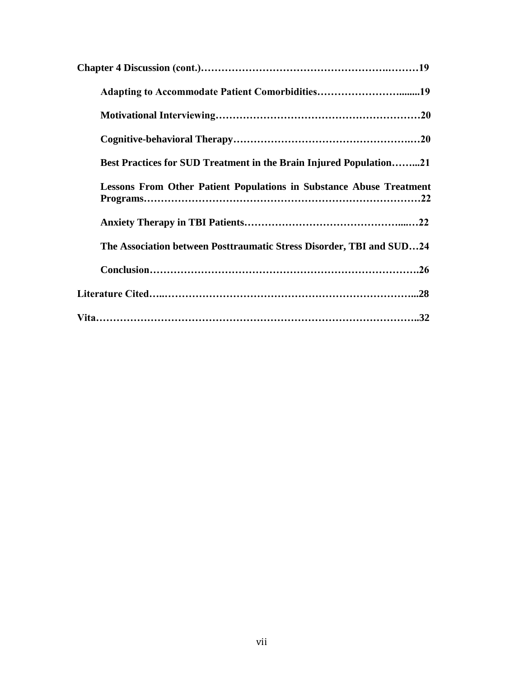| Adapting to Accommodate Patient Comorbidities19                            |
|----------------------------------------------------------------------------|
|                                                                            |
|                                                                            |
| <b>Best Practices for SUD Treatment in the Brain Injured Population21</b>  |
| <b>Lessons From Other Patient Populations in Substance Abuse Treatment</b> |
|                                                                            |
| The Association between Posttraumatic Stress Disorder, TBI and SUD24       |
|                                                                            |
|                                                                            |
|                                                                            |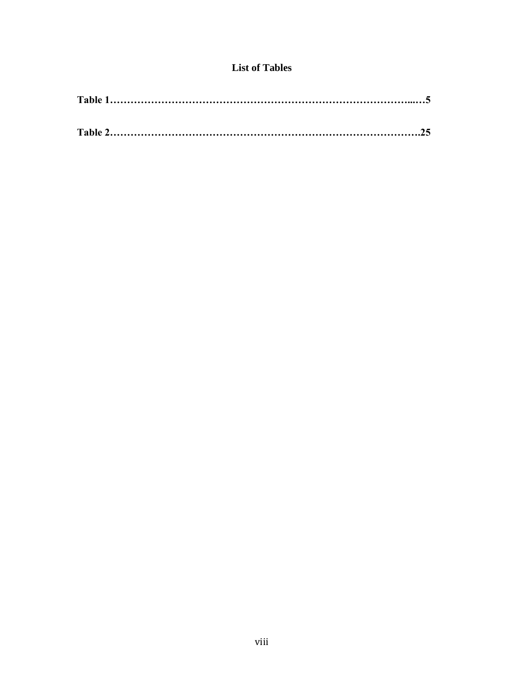## **List of Tables**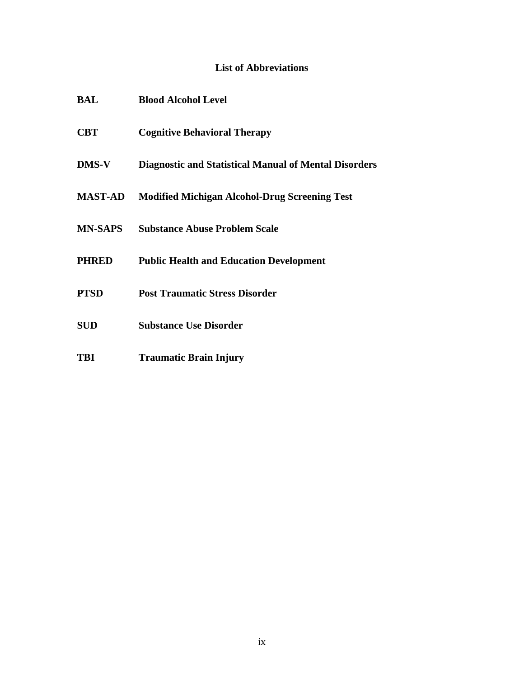# **List of Abbreviations**

| BAL            | <b>Blood Alcohol Level</b>                                   |
|----------------|--------------------------------------------------------------|
| <b>CBT</b>     | <b>Cognitive Behavioral Therapy</b>                          |
| <b>DMS-V</b>   | <b>Diagnostic and Statistical Manual of Mental Disorders</b> |
| <b>MAST-AD</b> | <b>Modified Michigan Alcohol-Drug Screening Test</b>         |
| <b>MN-SAPS</b> | <b>Substance Abuse Problem Scale</b>                         |
| <b>PHRED</b>   | <b>Public Health and Education Development</b>               |
| <b>PTSD</b>    | <b>Post Traumatic Stress Disorder</b>                        |
| <b>SUD</b>     | <b>Substance Use Disorder</b>                                |
|                |                                                              |

**TBI Traumatic Brain Injury**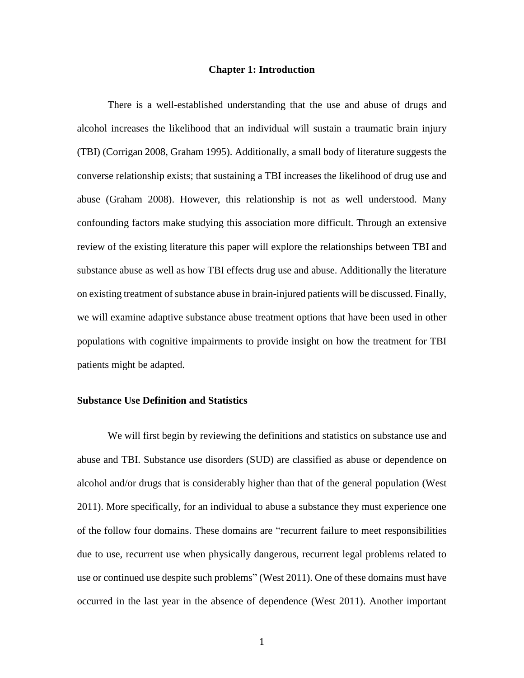#### **Chapter 1: Introduction**

There is a well-established understanding that the use and abuse of drugs and alcohol increases the likelihood that an individual will sustain a traumatic brain injury (TBI) (Corrigan 2008, Graham 1995). Additionally, a small body of literature suggests the converse relationship exists; that sustaining a TBI increases the likelihood of drug use and abuse (Graham 2008). However, this relationship is not as well understood. Many confounding factors make studying this association more difficult. Through an extensive review of the existing literature this paper will explore the relationships between TBI and substance abuse as well as how TBI effects drug use and abuse. Additionally the literature on existing treatment of substance abuse in brain-injured patients will be discussed. Finally, we will examine adaptive substance abuse treatment options that have been used in other populations with cognitive impairments to provide insight on how the treatment for TBI patients might be adapted.

#### **Substance Use Definition and Statistics**

We will first begin by reviewing the definitions and statistics on substance use and abuse and TBI. Substance use disorders (SUD) are classified as abuse or dependence on alcohol and/or drugs that is considerably higher than that of the general population (West 2011). More specifically, for an individual to abuse a substance they must experience one of the follow four domains. These domains are "recurrent failure to meet responsibilities due to use, recurrent use when physically dangerous, recurrent legal problems related to use or continued use despite such problems" (West 2011). One of these domains must have occurred in the last year in the absence of dependence (West 2011). Another important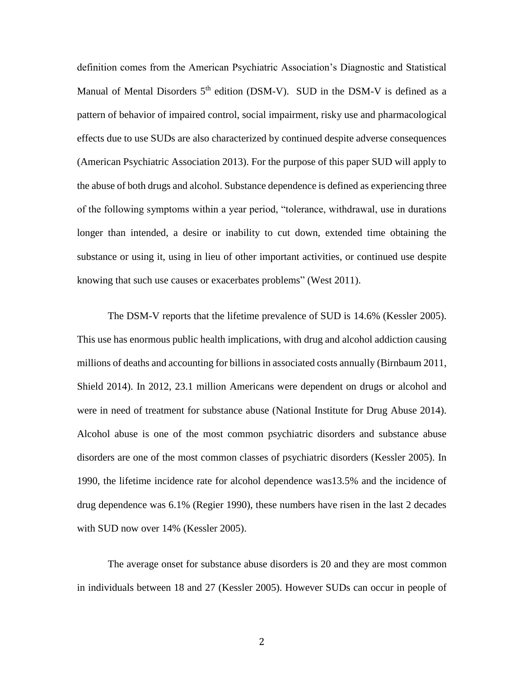definition comes from the American Psychiatric Association's Diagnostic and Statistical Manual of Mental Disorders  $5<sup>th</sup>$  edition (DSM-V). SUD in the DSM-V is defined as a pattern of behavior of impaired control, social impairment, risky use and pharmacological effects due to use SUDs are also characterized by continued despite adverse consequences (American Psychiatric Association 2013). For the purpose of this paper SUD will apply to the abuse of both drugs and alcohol. Substance dependence is defined as experiencing three of the following symptoms within a year period, "tolerance, withdrawal, use in durations longer than intended, a desire or inability to cut down, extended time obtaining the substance or using it, using in lieu of other important activities, or continued use despite knowing that such use causes or exacerbates problems" (West 2011).

The DSM-V reports that the lifetime prevalence of SUD is 14.6% (Kessler 2005). This use has enormous public health implications, with drug and alcohol addiction causing millions of deaths and accounting for billions in associated costs annually (Birnbaum 2011, Shield 2014). In 2012, 23.1 million Americans were dependent on drugs or alcohol and were in need of treatment for substance abuse (National Institute for Drug Abuse 2014). Alcohol abuse is one of the most common psychiatric disorders and substance abuse disorders are one of the most common classes of psychiatric disorders (Kessler 2005). In 1990, the lifetime incidence rate for alcohol dependence was13.5% and the incidence of drug dependence was 6.1% (Regier 1990), these numbers have risen in the last 2 decades with SUD now over 14% (Kessler 2005).

The average onset for substance abuse disorders is 20 and they are most common in individuals between 18 and 27 (Kessler 2005). However SUDs can occur in people of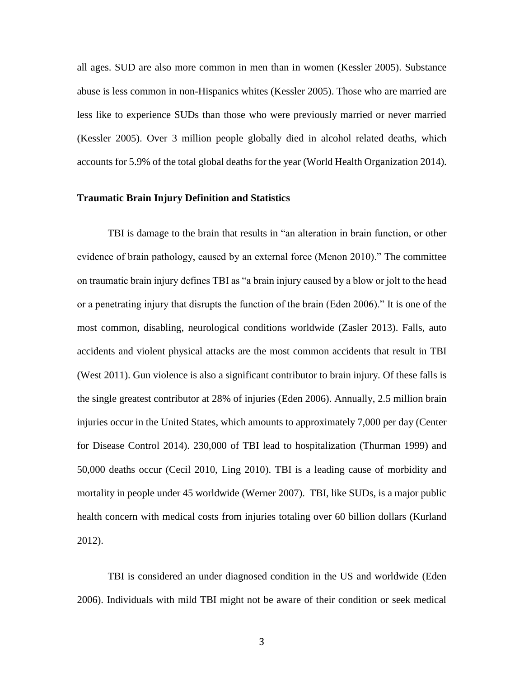all ages. SUD are also more common in men than in women (Kessler 2005). Substance abuse is less common in non-Hispanics whites (Kessler 2005). Those who are married are less like to experience SUDs than those who were previously married or never married (Kessler 2005). Over 3 million people globally died in alcohol related deaths, which accounts for 5.9% of the total global deaths for the year (World Health Organization 2014).

### **Traumatic Brain Injury Definition and Statistics**

TBI is damage to the brain that results in "an alteration in brain function, or other evidence of brain pathology, caused by an external force (Menon 2010)." The committee on traumatic brain injury defines TBI as "a brain injury caused by a blow or jolt to the head or a penetrating injury that disrupts the function of the brain (Eden 2006)." It is one of the most common, disabling, neurological conditions worldwide (Zasler 2013). Falls, auto accidents and violent physical attacks are the most common accidents that result in TBI (West 2011). Gun violence is also a significant contributor to brain injury. Of these falls is the single greatest contributor at 28% of injuries (Eden 2006). Annually, 2.5 million brain injuries occur in the United States, which amounts to approximately 7,000 per day (Center for Disease Control 2014). 230,000 of TBI lead to hospitalization (Thurman 1999) and 50,000 deaths occur (Cecil 2010, Ling 2010). TBI is a leading cause of morbidity and mortality in people under 45 worldwide (Werner 2007). TBI, like SUDs, is a major public health concern with medical costs from injuries totaling over 60 billion dollars (Kurland 2012).

TBI is considered an under diagnosed condition in the US and worldwide (Eden 2006). Individuals with mild TBI might not be aware of their condition or seek medical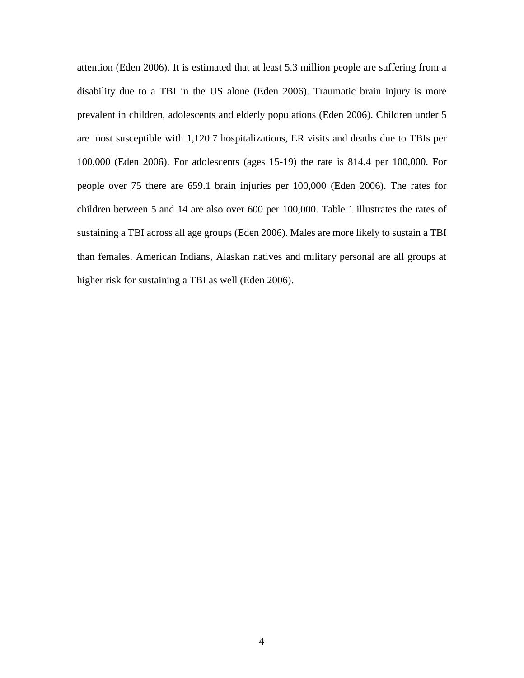attention (Eden 2006). It is estimated that at least 5.3 million people are suffering from a disability due to a TBI in the US alone (Eden 2006). Traumatic brain injury is more prevalent in children, adolescents and elderly populations (Eden 2006). Children under 5 are most susceptible with 1,120.7 hospitalizations, ER visits and deaths due to TBIs per 100,000 (Eden 2006). For adolescents (ages 15-19) the rate is 814.4 per 100,000. For people over 75 there are 659.1 brain injuries per 100,000 (Eden 2006). The rates for children between 5 and 14 are also over 600 per 100,000. Table 1 illustrates the rates of sustaining a TBI across all age groups (Eden 2006). Males are more likely to sustain a TBI than females. American Indians, Alaskan natives and military personal are all groups at higher risk for sustaining a TBI as well (Eden 2006).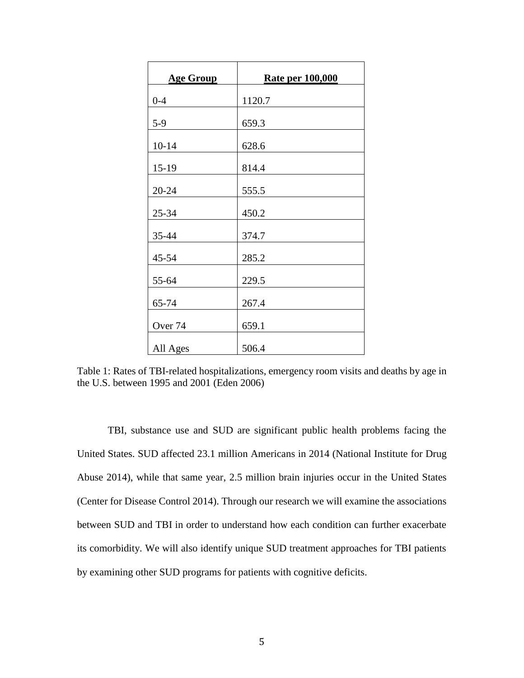| <b>Age Group</b>   | <b>Rate per 100,000</b> |
|--------------------|-------------------------|
| $0 - 4$            | 1120.7                  |
| $5-9$              | 659.3                   |
| $10 - 14$          | 628.6                   |
| $15-19$            | 814.4                   |
| 20-24              | 555.5                   |
| 25-34              | 450.2                   |
| 35-44              | 374.7                   |
| 45-54              | 285.2                   |
| 55-64              | 229.5                   |
| 65-74              | 267.4                   |
| Over <sub>74</sub> | 659.1                   |
| All Ages           | 506.4                   |

Table 1: Rates of TBI-related hospitalizations, emergency room visits and deaths by age in the U.S. between 1995 and 2001 (Eden 2006)

TBI, substance use and SUD are significant public health problems facing the United States. SUD affected 23.1 million Americans in 2014 (National Institute for Drug Abuse 2014), while that same year, 2.5 million brain injuries occur in the United States (Center for Disease Control 2014). Through our research we will examine the associations between SUD and TBI in order to understand how each condition can further exacerbate its comorbidity. We will also identify unique SUD treatment approaches for TBI patients by examining other SUD programs for patients with cognitive deficits.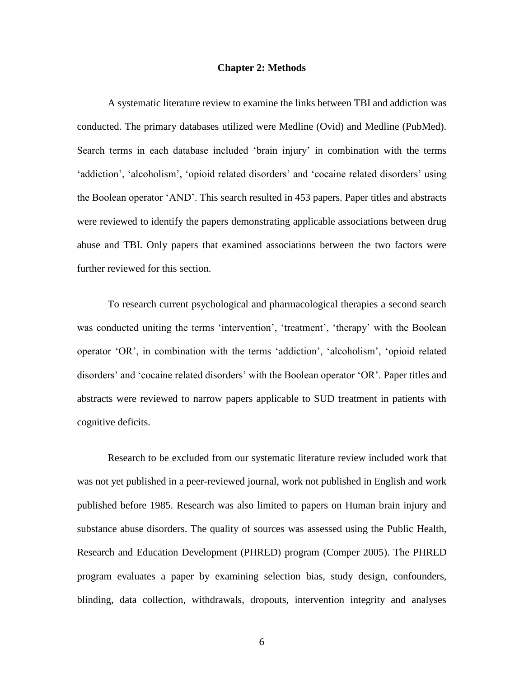#### **Chapter 2: Methods**

A systematic literature review to examine the links between TBI and addiction was conducted. The primary databases utilized were Medline (Ovid) and Medline (PubMed). Search terms in each database included 'brain injury' in combination with the terms 'addiction', 'alcoholism', 'opioid related disorders' and 'cocaine related disorders' using the Boolean operator 'AND'. This search resulted in 453 papers. Paper titles and abstracts were reviewed to identify the papers demonstrating applicable associations between drug abuse and TBI. Only papers that examined associations between the two factors were further reviewed for this section.

To research current psychological and pharmacological therapies a second search was conducted uniting the terms 'intervention', 'treatment', 'therapy' with the Boolean operator 'OR', in combination with the terms 'addiction', 'alcoholism', 'opioid related disorders' and 'cocaine related disorders' with the Boolean operator 'OR'. Paper titles and abstracts were reviewed to narrow papers applicable to SUD treatment in patients with cognitive deficits.

Research to be excluded from our systematic literature review included work that was not yet published in a peer-reviewed journal, work not published in English and work published before 1985. Research was also limited to papers on Human brain injury and substance abuse disorders. The quality of sources was assessed using the Public Health, Research and Education Development (PHRED) program (Comper 2005). The PHRED program evaluates a paper by examining selection bias, study design, confounders, blinding, data collection, withdrawals, dropouts, intervention integrity and analyses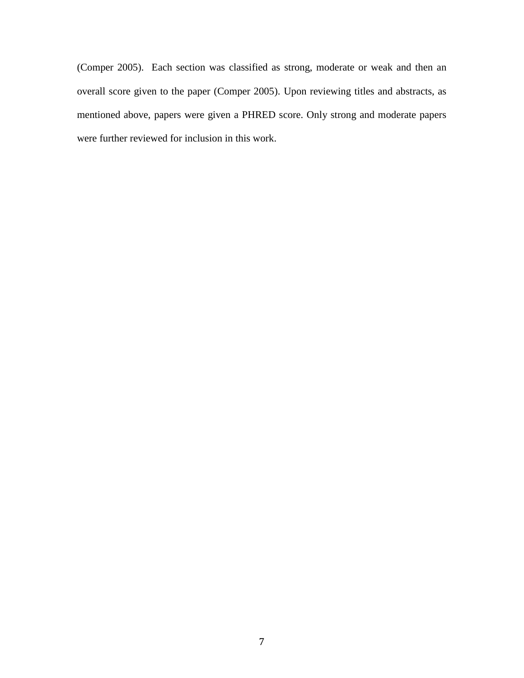(Comper 2005). Each section was classified as strong, moderate or weak and then an overall score given to the paper (Comper 2005). Upon reviewing titles and abstracts, as mentioned above, papers were given a PHRED score. Only strong and moderate papers were further reviewed for inclusion in this work.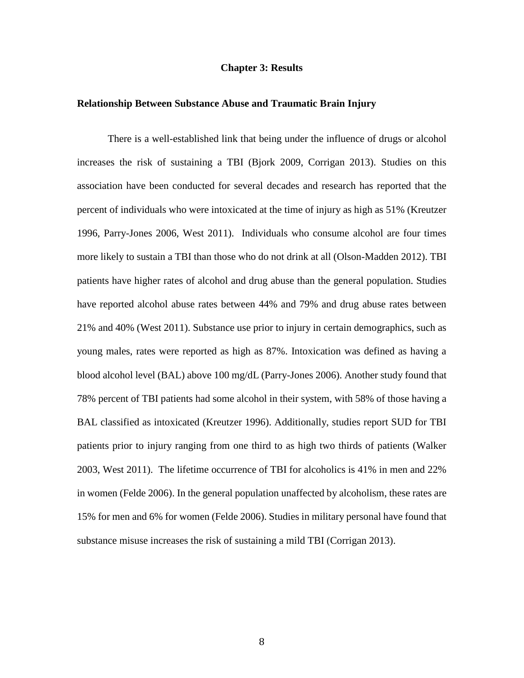#### **Chapter 3: Results**

#### **Relationship Between Substance Abuse and Traumatic Brain Injury**

There is a well-established link that being under the influence of drugs or alcohol increases the risk of sustaining a TBI (Bjork 2009, Corrigan 2013). Studies on this association have been conducted for several decades and research has reported that the percent of individuals who were intoxicated at the time of injury as high as 51% (Kreutzer 1996, Parry-Jones 2006, West 2011). Individuals who consume alcohol are four times more likely to sustain a TBI than those who do not drink at all (Olson-Madden 2012). TBI patients have higher rates of alcohol and drug abuse than the general population. Studies have reported alcohol abuse rates between 44% and 79% and drug abuse rates between 21% and 40% (West 2011). Substance use prior to injury in certain demographics, such as young males, rates were reported as high as 87%. Intoxication was defined as having a blood alcohol level (BAL) above 100 mg/dL (Parry-Jones 2006). Another study found that 78% percent of TBI patients had some alcohol in their system, with 58% of those having a BAL classified as intoxicated (Kreutzer 1996). Additionally, studies report SUD for TBI patients prior to injury ranging from one third to as high two thirds of patients (Walker 2003, West 2011). The lifetime occurrence of TBI for alcoholics is 41% in men and 22% in women (Felde 2006). In the general population unaffected by alcoholism, these rates are 15% for men and 6% for women (Felde 2006). Studies in military personal have found that substance misuse increases the risk of sustaining a mild TBI (Corrigan 2013).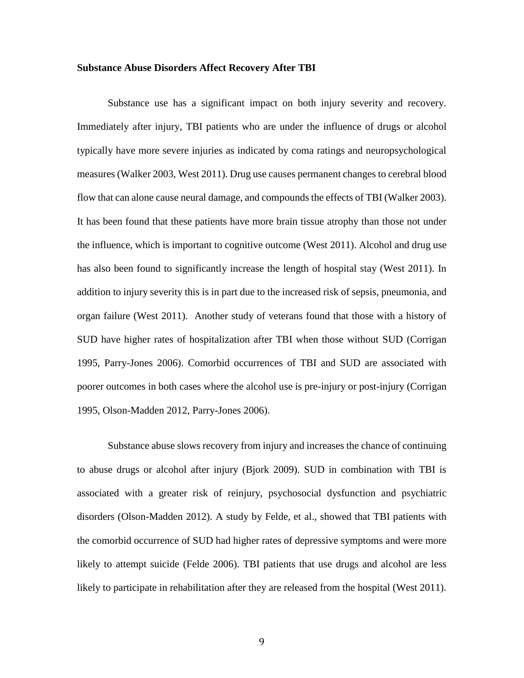#### **Substance Abuse Disorders Affect Recovery After TBI**

Substance use has a significant impact on both injury severity and recovery. Immediately after injury, TBI patients who are under the influence of drugs or alcohol typically have more severe injuries as indicated by coma ratings and neuropsychological measures (Walker 2003, West 2011). Drug use causes permanent changes to cerebral blood flow that can alone cause neural damage, and compounds the effects of TBI (Walker 2003). It has been found that these patients have more brain tissue atrophy than those not under the influence, which is important to cognitive outcome (West 2011). Alcohol and drug use has also been found to significantly increase the length of hospital stay (West 2011). In addition to injury severity this is in part due to the increased risk of sepsis, pneumonia, and organ failure (West 2011). Another study of veterans found that those with a history of SUD have higher rates of hospitalization after TBI when those without SUD (Corrigan 1995, Parry-Jones 2006). Comorbid occurrences of TBI and SUD are associated with poorer outcomes in both cases where the alcohol use is pre-injury or post-injury (Corrigan 1995, Olson-Madden 2012, Parry-Jones 2006).

Substance abuse slows recovery from injury and increases the chance of continuing to abuse drugs or alcohol after injury (Bjork 2009). SUD in combination with TBI is associated with a greater risk of reinjury, psychosocial dysfunction and psychiatric disorders (Olson-Madden 2012). A study by Felde, et al., showed that TBI patients with the comorbid occurrence of SUD had higher rates of depressive symptoms and were more likely to attempt suicide (Felde 2006). TBI patients that use drugs and alcohol are less likely to participate in rehabilitation after they are released from the hospital (West 2011).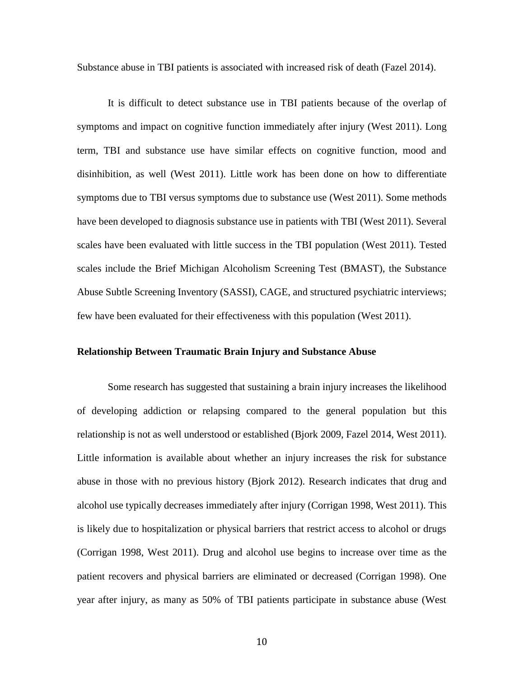Substance abuse in TBI patients is associated with increased risk of death (Fazel 2014).

It is difficult to detect substance use in TBI patients because of the overlap of symptoms and impact on cognitive function immediately after injury (West 2011). Long term, TBI and substance use have similar effects on cognitive function, mood and disinhibition, as well (West 2011). Little work has been done on how to differentiate symptoms due to TBI versus symptoms due to substance use (West 2011). Some methods have been developed to diagnosis substance use in patients with TBI (West 2011). Several scales have been evaluated with little success in the TBI population (West 2011). Tested scales include the Brief Michigan Alcoholism Screening Test (BMAST), the Substance Abuse Subtle Screening Inventory (SASSI), CAGE, and structured psychiatric interviews; few have been evaluated for their effectiveness with this population (West 2011).

#### **Relationship Between Traumatic Brain Injury and Substance Abuse**

Some research has suggested that sustaining a brain injury increases the likelihood of developing addiction or relapsing compared to the general population but this relationship is not as well understood or established (Bjork 2009, Fazel 2014, West 2011). Little information is available about whether an injury increases the risk for substance abuse in those with no previous history (Bjork 2012). Research indicates that drug and alcohol use typically decreases immediately after injury (Corrigan 1998, West 2011). This is likely due to hospitalization or physical barriers that restrict access to alcohol or drugs (Corrigan 1998, West 2011). Drug and alcohol use begins to increase over time as the patient recovers and physical barriers are eliminated or decreased (Corrigan 1998). One year after injury, as many as 50% of TBI patients participate in substance abuse (West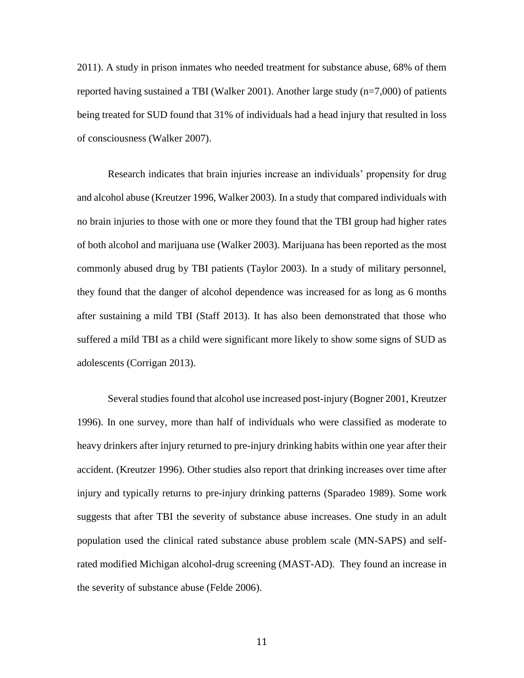2011). A study in prison inmates who needed treatment for substance abuse, 68% of them reported having sustained a TBI (Walker 2001). Another large study (n=7,000) of patients being treated for SUD found that 31% of individuals had a head injury that resulted in loss of consciousness (Walker 2007).

Research indicates that brain injuries increase an individuals' propensity for drug and alcohol abuse (Kreutzer 1996, Walker 2003). In a study that compared individuals with no brain injuries to those with one or more they found that the TBI group had higher rates of both alcohol and marijuana use (Walker 2003). Marijuana has been reported as the most commonly abused drug by TBI patients (Taylor 2003). In a study of military personnel, they found that the danger of alcohol dependence was increased for as long as 6 months after sustaining a mild TBI (Staff 2013). It has also been demonstrated that those who suffered a mild TBI as a child were significant more likely to show some signs of SUD as adolescents (Corrigan 2013).

Several studies found that alcohol use increased post-injury (Bogner 2001, Kreutzer 1996). In one survey, more than half of individuals who were classified as moderate to heavy drinkers after injury returned to pre-injury drinking habits within one year after their accident. (Kreutzer 1996). Other studies also report that drinking increases over time after injury and typically returns to pre-injury drinking patterns (Sparadeo 1989). Some work suggests that after TBI the severity of substance abuse increases. One study in an adult population used the clinical rated substance abuse problem scale (MN-SAPS) and selfrated modified Michigan alcohol-drug screening (MAST-AD). They found an increase in the severity of substance abuse (Felde 2006).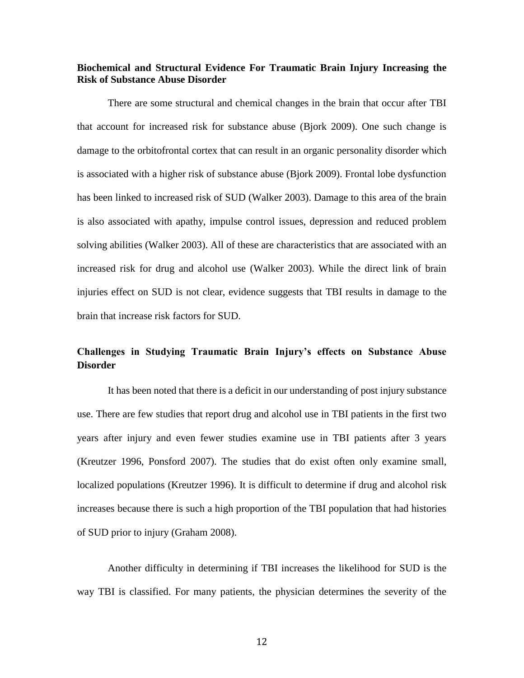### **Biochemical and Structural Evidence For Traumatic Brain Injury Increasing the Risk of Substance Abuse Disorder**

There are some structural and chemical changes in the brain that occur after TBI that account for increased risk for substance abuse (Bjork 2009). One such change is damage to the orbitofrontal cortex that can result in an organic personality disorder which is associated with a higher risk of substance abuse (Bjork 2009). Frontal lobe dysfunction has been linked to increased risk of SUD (Walker 2003). Damage to this area of the brain is also associated with apathy, impulse control issues, depression and reduced problem solving abilities (Walker 2003). All of these are characteristics that are associated with an increased risk for drug and alcohol use (Walker 2003). While the direct link of brain injuries effect on SUD is not clear, evidence suggests that TBI results in damage to the brain that increase risk factors for SUD.

## **Challenges in Studying Traumatic Brain Injury's effects on Substance Abuse Disorder**

It has been noted that there is a deficit in our understanding of post injury substance use. There are few studies that report drug and alcohol use in TBI patients in the first two years after injury and even fewer studies examine use in TBI patients after 3 years (Kreutzer 1996, Ponsford 2007). The studies that do exist often only examine small, localized populations (Kreutzer 1996). It is difficult to determine if drug and alcohol risk increases because there is such a high proportion of the TBI population that had histories of SUD prior to injury (Graham 2008).

Another difficulty in determining if TBI increases the likelihood for SUD is the way TBI is classified. For many patients, the physician determines the severity of the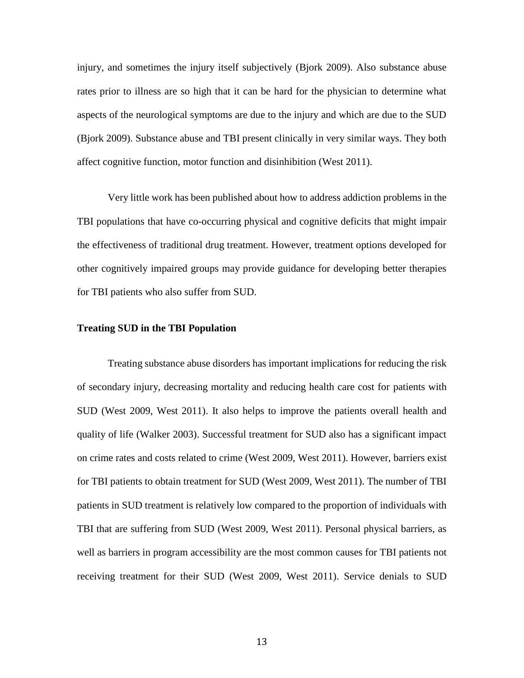injury, and sometimes the injury itself subjectively (Bjork 2009). Also substance abuse rates prior to illness are so high that it can be hard for the physician to determine what aspects of the neurological symptoms are due to the injury and which are due to the SUD (Bjork 2009). Substance abuse and TBI present clinically in very similar ways. They both affect cognitive function, motor function and disinhibition (West 2011).

Very little work has been published about how to address addiction problems in the TBI populations that have co-occurring physical and cognitive deficits that might impair the effectiveness of traditional drug treatment. However, treatment options developed for other cognitively impaired groups may provide guidance for developing better therapies for TBI patients who also suffer from SUD.

#### **Treating SUD in the TBI Population**

Treating substance abuse disorders has important implications for reducing the risk of secondary injury, decreasing mortality and reducing health care cost for patients with SUD (West 2009, West 2011). It also helps to improve the patients overall health and quality of life (Walker 2003). Successful treatment for SUD also has a significant impact on crime rates and costs related to crime (West 2009, West 2011). However, barriers exist for TBI patients to obtain treatment for SUD (West 2009, West 2011). The number of TBI patients in SUD treatment is relatively low compared to the proportion of individuals with TBI that are suffering from SUD (West 2009, West 2011). Personal physical barriers, as well as barriers in program accessibility are the most common causes for TBI patients not receiving treatment for their SUD (West 2009, West 2011). Service denials to SUD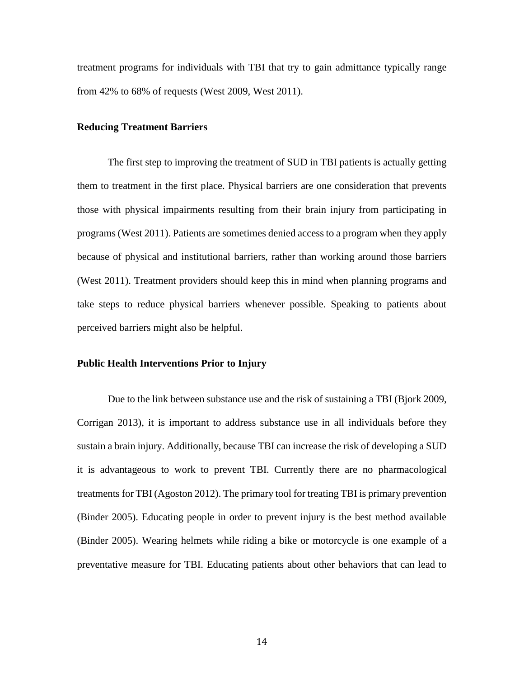treatment programs for individuals with TBI that try to gain admittance typically range from 42% to 68% of requests (West 2009, West 2011).

#### **Reducing Treatment Barriers**

The first step to improving the treatment of SUD in TBI patients is actually getting them to treatment in the first place. Physical barriers are one consideration that prevents those with physical impairments resulting from their brain injury from participating in programs (West 2011). Patients are sometimes denied access to a program when they apply because of physical and institutional barriers, rather than working around those barriers (West 2011). Treatment providers should keep this in mind when planning programs and take steps to reduce physical barriers whenever possible. Speaking to patients about perceived barriers might also be helpful.

#### **Public Health Interventions Prior to Injury**

Due to the link between substance use and the risk of sustaining a TBI (Bjork 2009, Corrigan 2013), it is important to address substance use in all individuals before they sustain a brain injury. Additionally, because TBI can increase the risk of developing a SUD it is advantageous to work to prevent TBI. Currently there are no pharmacological treatments for TBI (Agoston 2012). The primary tool for treating TBI is primary prevention (Binder 2005). Educating people in order to prevent injury is the best method available (Binder 2005). Wearing helmets while riding a bike or motorcycle is one example of a preventative measure for TBI. Educating patients about other behaviors that can lead to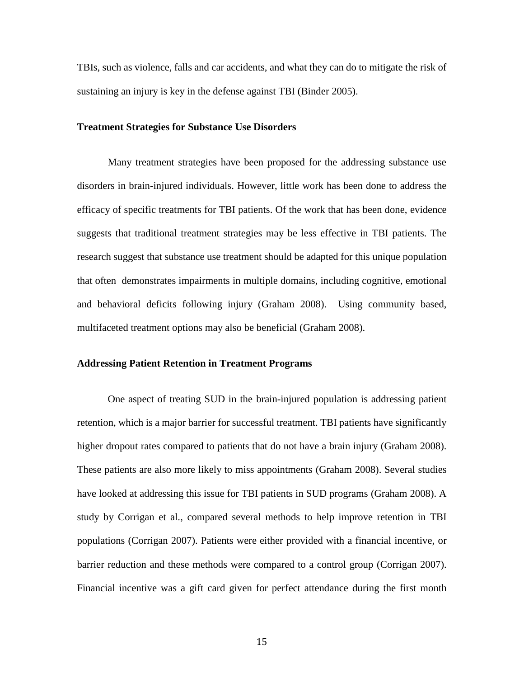TBIs, such as violence, falls and car accidents, and what they can do to mitigate the risk of sustaining an injury is key in the defense against TBI (Binder 2005).

#### **Treatment Strategies for Substance Use Disorders**

Many treatment strategies have been proposed for the addressing substance use disorders in brain-injured individuals. However, little work has been done to address the efficacy of specific treatments for TBI patients. Of the work that has been done, evidence suggests that traditional treatment strategies may be less effective in TBI patients. The research suggest that substance use treatment should be adapted for this unique population that often demonstrates impairments in multiple domains, including cognitive, emotional and behavioral deficits following injury (Graham 2008). Using community based, multifaceted treatment options may also be beneficial (Graham 2008).

#### **Addressing Patient Retention in Treatment Programs**

One aspect of treating SUD in the brain-injured population is addressing patient retention, which is a major barrier for successful treatment. TBI patients have significantly higher dropout rates compared to patients that do not have a brain injury (Graham 2008). These patients are also more likely to miss appointments (Graham 2008). Several studies have looked at addressing this issue for TBI patients in SUD programs (Graham 2008). A study by Corrigan et al., compared several methods to help improve retention in TBI populations (Corrigan 2007). Patients were either provided with a financial incentive, or barrier reduction and these methods were compared to a control group (Corrigan 2007). Financial incentive was a gift card given for perfect attendance during the first month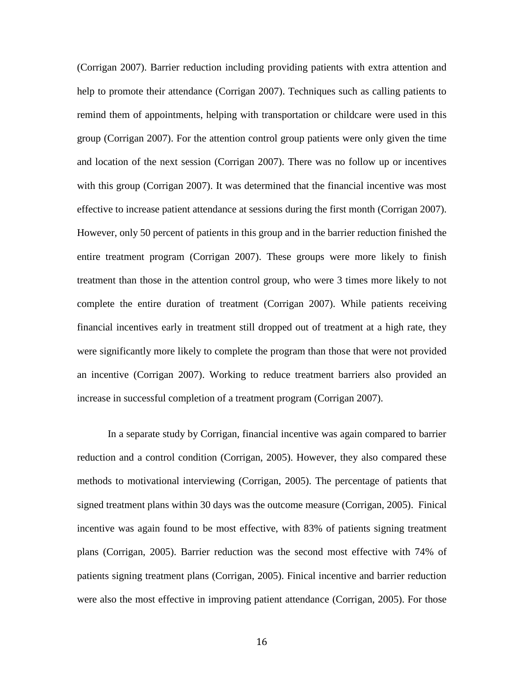(Corrigan 2007). Barrier reduction including providing patients with extra attention and help to promote their attendance (Corrigan 2007). Techniques such as calling patients to remind them of appointments, helping with transportation or childcare were used in this group (Corrigan 2007). For the attention control group patients were only given the time and location of the next session (Corrigan 2007). There was no follow up or incentives with this group (Corrigan 2007). It was determined that the financial incentive was most effective to increase patient attendance at sessions during the first month (Corrigan 2007). However, only 50 percent of patients in this group and in the barrier reduction finished the entire treatment program (Corrigan 2007). These groups were more likely to finish treatment than those in the attention control group, who were 3 times more likely to not complete the entire duration of treatment (Corrigan 2007). While patients receiving financial incentives early in treatment still dropped out of treatment at a high rate, they were significantly more likely to complete the program than those that were not provided an incentive (Corrigan 2007). Working to reduce treatment barriers also provided an increase in successful completion of a treatment program (Corrigan 2007).

In a separate study by Corrigan, financial incentive was again compared to barrier reduction and a control condition (Corrigan, 2005). However, they also compared these methods to motivational interviewing (Corrigan, 2005). The percentage of patients that signed treatment plans within 30 days was the outcome measure (Corrigan, 2005). Finical incentive was again found to be most effective, with 83% of patients signing treatment plans (Corrigan, 2005). Barrier reduction was the second most effective with 74% of patients signing treatment plans (Corrigan, 2005). Finical incentive and barrier reduction were also the most effective in improving patient attendance (Corrigan, 2005). For those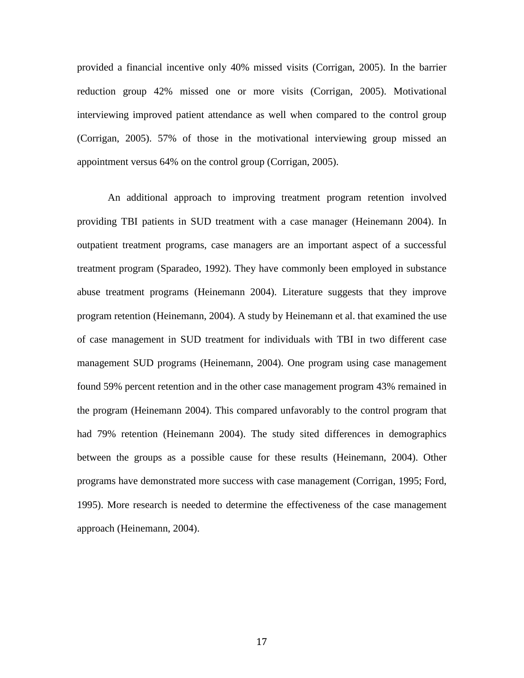provided a financial incentive only 40% missed visits (Corrigan, 2005). In the barrier reduction group 42% missed one or more visits (Corrigan, 2005). Motivational interviewing improved patient attendance as well when compared to the control group (Corrigan, 2005). 57% of those in the motivational interviewing group missed an appointment versus 64% on the control group (Corrigan, 2005).

An additional approach to improving treatment program retention involved providing TBI patients in SUD treatment with a case manager (Heinemann 2004). In outpatient treatment programs, case managers are an important aspect of a successful treatment program (Sparadeo, 1992). They have commonly been employed in substance abuse treatment programs (Heinemann 2004). Literature suggests that they improve program retention (Heinemann, 2004). A study by Heinemann et al. that examined the use of case management in SUD treatment for individuals with TBI in two different case management SUD programs (Heinemann, 2004). One program using case management found 59% percent retention and in the other case management program 43% remained in the program (Heinemann 2004). This compared unfavorably to the control program that had 79% retention (Heinemann 2004). The study sited differences in demographics between the groups as a possible cause for these results (Heinemann, 2004). Other programs have demonstrated more success with case management (Corrigan, 1995; Ford, 1995). More research is needed to determine the effectiveness of the case management approach (Heinemann, 2004).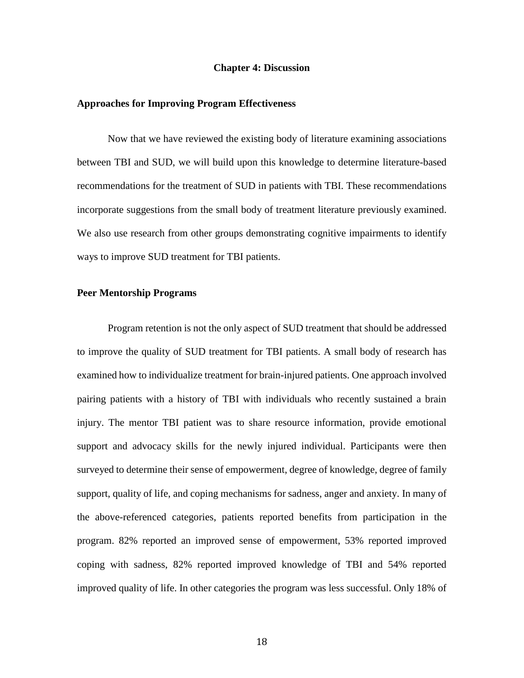#### **Chapter 4: Discussion**

#### **Approaches for Improving Program Effectiveness**

Now that we have reviewed the existing body of literature examining associations between TBI and SUD, we will build upon this knowledge to determine literature-based recommendations for the treatment of SUD in patients with TBI. These recommendations incorporate suggestions from the small body of treatment literature previously examined. We also use research from other groups demonstrating cognitive impairments to identify ways to improve SUD treatment for TBI patients.

#### **Peer Mentorship Programs**

Program retention is not the only aspect of SUD treatment that should be addressed to improve the quality of SUD treatment for TBI patients. A small body of research has examined how to individualize treatment for brain-injured patients. One approach involved pairing patients with a history of TBI with individuals who recently sustained a brain injury. The mentor TBI patient was to share resource information, provide emotional support and advocacy skills for the newly injured individual. Participants were then surveyed to determine their sense of empowerment, degree of knowledge, degree of family support, quality of life, and coping mechanisms for sadness, anger and anxiety. In many of the above-referenced categories, patients reported benefits from participation in the program. 82% reported an improved sense of empowerment, 53% reported improved coping with sadness, 82% reported improved knowledge of TBI and 54% reported improved quality of life. In other categories the program was less successful. Only 18% of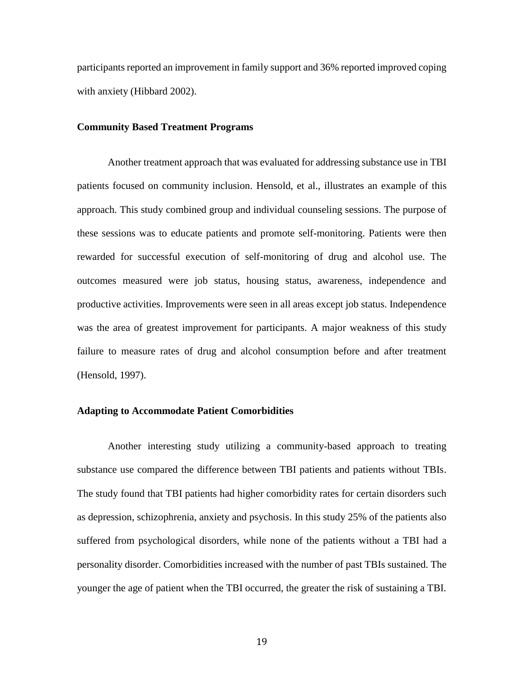participants reported an improvement in family support and 36% reported improved coping with anxiety (Hibbard 2002).

#### **Community Based Treatment Programs**

Another treatment approach that was evaluated for addressing substance use in TBI patients focused on community inclusion. Hensold, et al., illustrates an example of this approach. This study combined group and individual counseling sessions. The purpose of these sessions was to educate patients and promote self-monitoring. Patients were then rewarded for successful execution of self-monitoring of drug and alcohol use. The outcomes measured were job status, housing status, awareness, independence and productive activities. Improvements were seen in all areas except job status. Independence was the area of greatest improvement for participants. A major weakness of this study failure to measure rates of drug and alcohol consumption before and after treatment (Hensold, 1997).

#### **Adapting to Accommodate Patient Comorbidities**

Another interesting study utilizing a community-based approach to treating substance use compared the difference between TBI patients and patients without TBIs. The study found that TBI patients had higher comorbidity rates for certain disorders such as depression, schizophrenia, anxiety and psychosis. In this study 25% of the patients also suffered from psychological disorders, while none of the patients without a TBI had a personality disorder. Comorbidities increased with the number of past TBIs sustained. The younger the age of patient when the TBI occurred, the greater the risk of sustaining a TBI.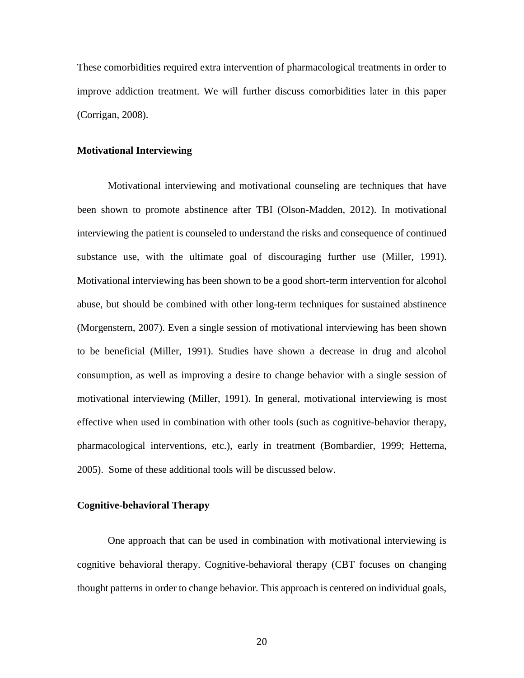These comorbidities required extra intervention of pharmacological treatments in order to improve addiction treatment. We will further discuss comorbidities later in this paper (Corrigan, 2008).

#### **Motivational Interviewing**

Motivational interviewing and motivational counseling are techniques that have been shown to promote abstinence after TBI (Olson-Madden, 2012). In motivational interviewing the patient is counseled to understand the risks and consequence of continued substance use, with the ultimate goal of discouraging further use (Miller, 1991). Motivational interviewing has been shown to be a good short-term intervention for alcohol abuse, but should be combined with other long-term techniques for sustained abstinence (Morgenstern, 2007). Even a single session of motivational interviewing has been shown to be beneficial (Miller, 1991). Studies have shown a decrease in drug and alcohol consumption, as well as improving a desire to change behavior with a single session of motivational interviewing (Miller, 1991). In general, motivational interviewing is most effective when used in combination with other tools (such as cognitive-behavior therapy, pharmacological interventions, etc.), early in treatment (Bombardier, 1999; Hettema, 2005). Some of these additional tools will be discussed below.

#### **Cognitive-behavioral Therapy**

One approach that can be used in combination with motivational interviewing is cognitive behavioral therapy. Cognitive-behavioral therapy (CBT focuses on changing thought patterns in order to change behavior. This approach is centered on individual goals,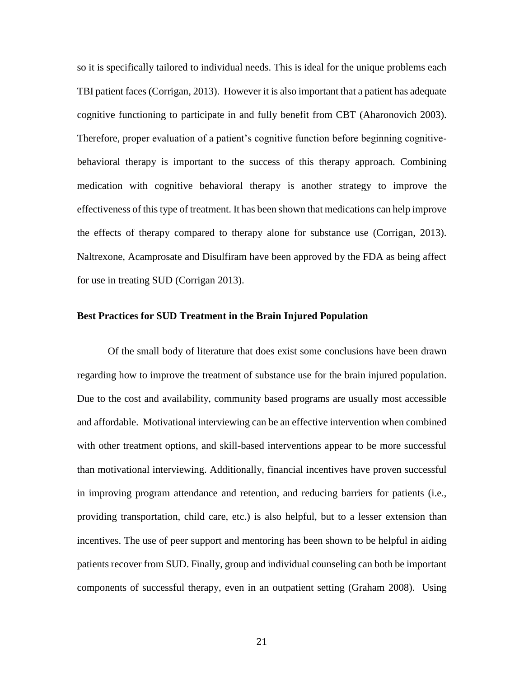so it is specifically tailored to individual needs. This is ideal for the unique problems each TBI patient faces (Corrigan, 2013). However it is also important that a patient has adequate cognitive functioning to participate in and fully benefit from CBT (Aharonovich 2003). Therefore, proper evaluation of a patient's cognitive function before beginning cognitivebehavioral therapy is important to the success of this therapy approach. Combining medication with cognitive behavioral therapy is another strategy to improve the effectiveness of this type of treatment. It has been shown that medications can help improve the effects of therapy compared to therapy alone for substance use (Corrigan, 2013). Naltrexone, Acamprosate and Disulfiram have been approved by the FDA as being affect for use in treating SUD (Corrigan 2013).

#### **Best Practices for SUD Treatment in the Brain Injured Population**

Of the small body of literature that does exist some conclusions have been drawn regarding how to improve the treatment of substance use for the brain injured population. Due to the cost and availability, community based programs are usually most accessible and affordable. Motivational interviewing can be an effective intervention when combined with other treatment options, and skill-based interventions appear to be more successful than motivational interviewing. Additionally, financial incentives have proven successful in improving program attendance and retention, and reducing barriers for patients (i.e., providing transportation, child care, etc.) is also helpful, but to a lesser extension than incentives. The use of peer support and mentoring has been shown to be helpful in aiding patients recover from SUD. Finally, group and individual counseling can both be important components of successful therapy, even in an outpatient setting (Graham 2008). Using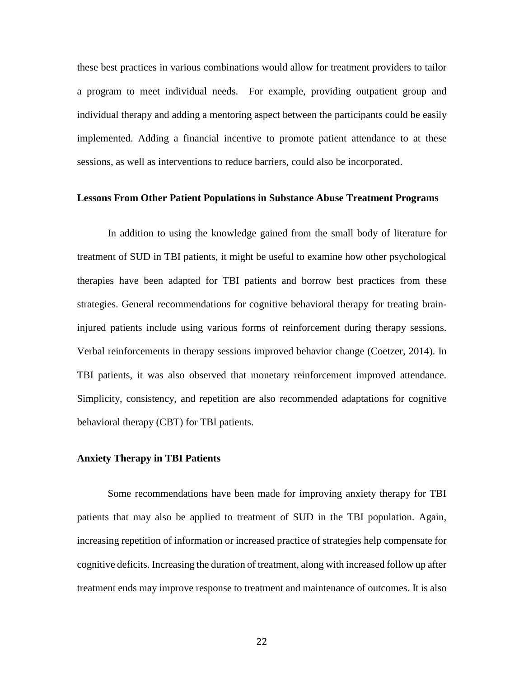these best practices in various combinations would allow for treatment providers to tailor a program to meet individual needs. For example, providing outpatient group and individual therapy and adding a mentoring aspect between the participants could be easily implemented. Adding a financial incentive to promote patient attendance to at these sessions, as well as interventions to reduce barriers, could also be incorporated.

#### **Lessons From Other Patient Populations in Substance Abuse Treatment Programs**

In addition to using the knowledge gained from the small body of literature for treatment of SUD in TBI patients, it might be useful to examine how other psychological therapies have been adapted for TBI patients and borrow best practices from these strategies. General recommendations for cognitive behavioral therapy for treating braininjured patients include using various forms of reinforcement during therapy sessions. Verbal reinforcements in therapy sessions improved behavior change (Coetzer, 2014). In TBI patients, it was also observed that monetary reinforcement improved attendance. Simplicity, consistency, and repetition are also recommended adaptations for cognitive behavioral therapy (CBT) for TBI patients.

#### **Anxiety Therapy in TBI Patients**

Some recommendations have been made for improving anxiety therapy for TBI patients that may also be applied to treatment of SUD in the TBI population. Again, increasing repetition of information or increased practice of strategies help compensate for cognitive deficits. Increasing the duration of treatment, along with increased follow up after treatment ends may improve response to treatment and maintenance of outcomes. It is also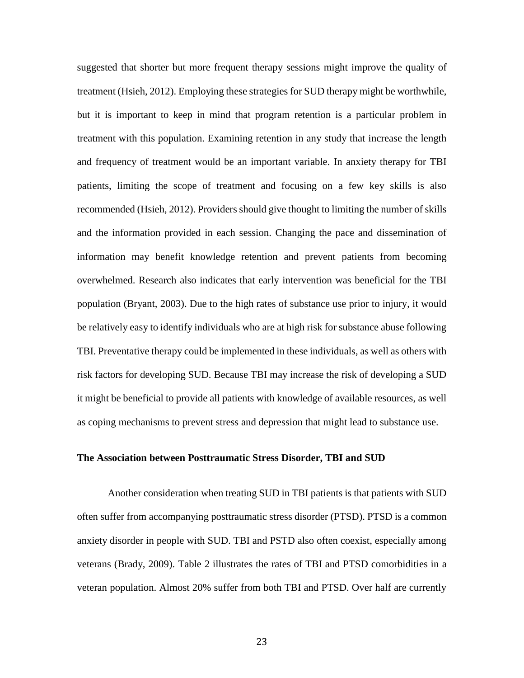suggested that shorter but more frequent therapy sessions might improve the quality of treatment (Hsieh, 2012). Employing these strategies for SUD therapy might be worthwhile, but it is important to keep in mind that program retention is a particular problem in treatment with this population. Examining retention in any study that increase the length and frequency of treatment would be an important variable. In anxiety therapy for TBI patients, limiting the scope of treatment and focusing on a few key skills is also recommended (Hsieh, 2012). Providers should give thought to limiting the number of skills and the information provided in each session. Changing the pace and dissemination of information may benefit knowledge retention and prevent patients from becoming overwhelmed. Research also indicates that early intervention was beneficial for the TBI population (Bryant, 2003). Due to the high rates of substance use prior to injury, it would be relatively easy to identify individuals who are at high risk for substance abuse following TBI. Preventative therapy could be implemented in these individuals, as well as others with risk factors for developing SUD. Because TBI may increase the risk of developing a SUD it might be beneficial to provide all patients with knowledge of available resources, as well as coping mechanisms to prevent stress and depression that might lead to substance use.

#### **The Association between Posttraumatic Stress Disorder, TBI and SUD**

Another consideration when treating SUD in TBI patients is that patients with SUD often suffer from accompanying posttraumatic stress disorder (PTSD). PTSD is a common anxiety disorder in people with SUD. TBI and PSTD also often coexist, especially among veterans (Brady, 2009). Table 2 illustrates the rates of TBI and PTSD comorbidities in a veteran population. Almost 20% suffer from both TBI and PTSD. Over half are currently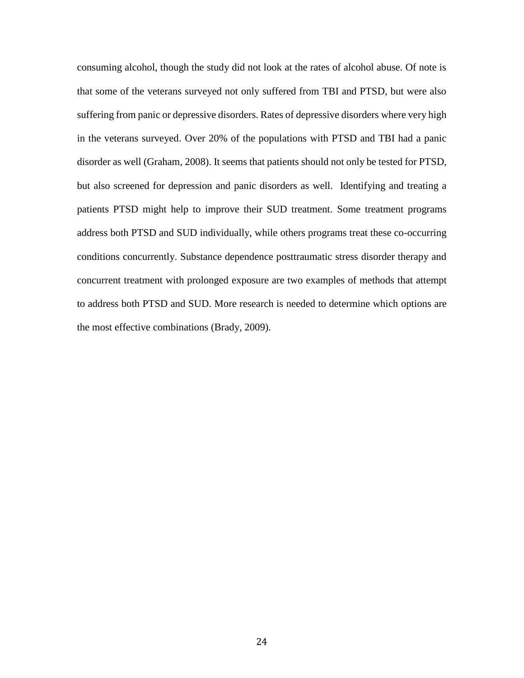consuming alcohol, though the study did not look at the rates of alcohol abuse. Of note is that some of the veterans surveyed not only suffered from TBI and PTSD, but were also suffering from panic or depressive disorders. Rates of depressive disorders where very high in the veterans surveyed. Over 20% of the populations with PTSD and TBI had a panic disorder as well (Graham, 2008). It seems that patients should not only be tested for PTSD, but also screened for depression and panic disorders as well. Identifying and treating a patients PTSD might help to improve their SUD treatment. Some treatment programs address both PTSD and SUD individually, while others programs treat these co-occurring conditions concurrently. Substance dependence posttraumatic stress disorder therapy and concurrent treatment with prolonged exposure are two examples of methods that attempt to address both PTSD and SUD. More research is needed to determine which options are the most effective combinations (Brady, 2009).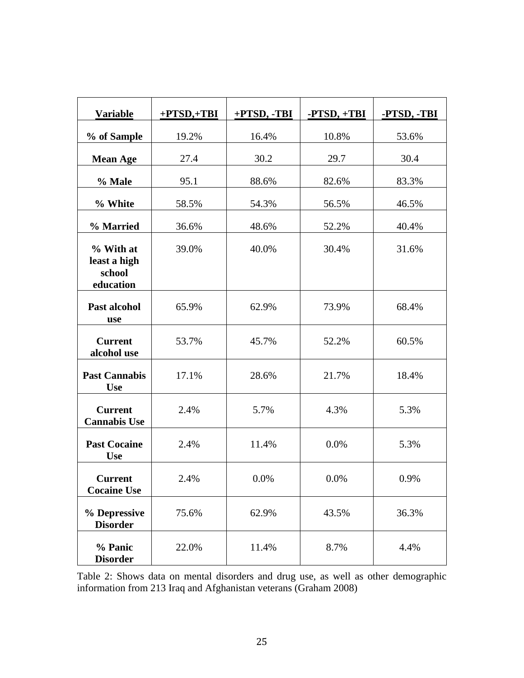| <b>Variable</b>                                  | $+$ PTSD, $+$ TBI | +PTSD, -TBI | $-PTSD, +TBI$ | -PTSD, -TBI |
|--------------------------------------------------|-------------------|-------------|---------------|-------------|
| % of Sample                                      | 19.2%             | 16.4%       | 10.8%         | 53.6%       |
| <b>Mean Age</b>                                  | 27.4              | 30.2        | 29.7          | 30.4        |
| % Male                                           | 95.1              | 88.6%       | 82.6%         | 83.3%       |
| % White                                          | 58.5%             | 54.3%       | 56.5%         | 46.5%       |
| % Married                                        | 36.6%             | 48.6%       | 52.2%         | 40.4%       |
| % With at<br>least a high<br>school<br>education | 39.0%             | 40.0%       | 30.4%         | 31.6%       |
| Past alcohol<br>use                              | 65.9%             | 62.9%       | 73.9%         | 68.4%       |
| <b>Current</b><br>alcohol use                    | 53.7%             | 45.7%       | 52.2%         | 60.5%       |
| <b>Past Cannabis</b><br><b>Use</b>               | 17.1%             | 28.6%       | 21.7%         | 18.4%       |
| <b>Current</b><br><b>Cannabis Use</b>            | 2.4%              | 5.7%        | 4.3%          | 5.3%        |
| <b>Past Cocaine</b><br><b>Use</b>                | 2.4%              | 11.4%       | 0.0%          | 5.3%        |
| <b>Current</b><br><b>Cocaine Use</b>             | 2.4%              | 0.0%        | $0.0\%$       | 0.9%        |
| % Depressive<br><b>Disorder</b>                  | 75.6%             | 62.9%       | 43.5%         | 36.3%       |
| % Panic<br><b>Disorder</b>                       | 22.0%             | 11.4%       | 8.7%          | 4.4%        |

Table 2: Shows data on mental disorders and drug use, as well as other demographic information from 213 Iraq and Afghanistan veterans (Graham 2008)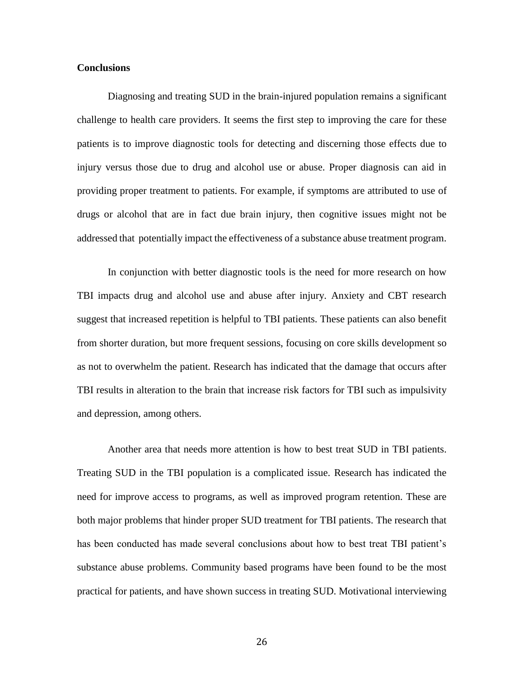#### **Conclusions**

Diagnosing and treating SUD in the brain-injured population remains a significant challenge to health care providers. It seems the first step to improving the care for these patients is to improve diagnostic tools for detecting and discerning those effects due to injury versus those due to drug and alcohol use or abuse. Proper diagnosis can aid in providing proper treatment to patients. For example, if symptoms are attributed to use of drugs or alcohol that are in fact due brain injury, then cognitive issues might not be addressed that potentially impact the effectiveness of a substance abuse treatment program.

In conjunction with better diagnostic tools is the need for more research on how TBI impacts drug and alcohol use and abuse after injury. Anxiety and CBT research suggest that increased repetition is helpful to TBI patients. These patients can also benefit from shorter duration, but more frequent sessions, focusing on core skills development so as not to overwhelm the patient. Research has indicated that the damage that occurs after TBI results in alteration to the brain that increase risk factors for TBI such as impulsivity and depression, among others.

Another area that needs more attention is how to best treat SUD in TBI patients. Treating SUD in the TBI population is a complicated issue. Research has indicated the need for improve access to programs, as well as improved program retention. These are both major problems that hinder proper SUD treatment for TBI patients. The research that has been conducted has made several conclusions about how to best treat TBI patient's substance abuse problems. Community based programs have been found to be the most practical for patients, and have shown success in treating SUD. Motivational interviewing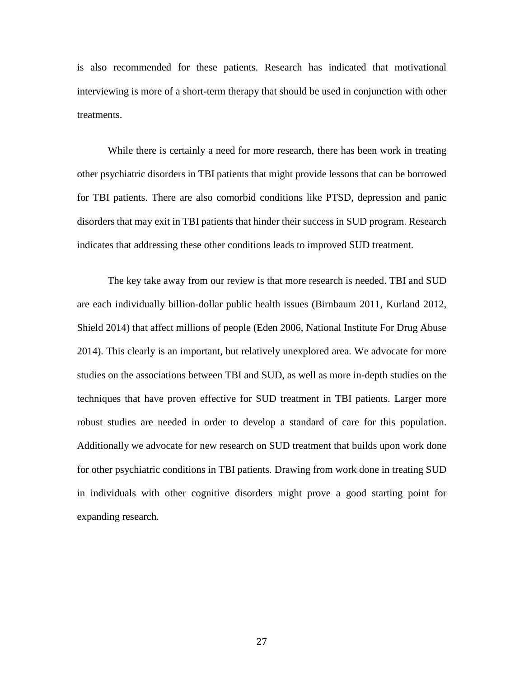is also recommended for these patients. Research has indicated that motivational interviewing is more of a short-term therapy that should be used in conjunction with other treatments.

While there is certainly a need for more research, there has been work in treating other psychiatric disorders in TBI patients that might provide lessons that can be borrowed for TBI patients. There are also comorbid conditions like PTSD, depression and panic disorders that may exit in TBI patients that hinder their success in SUD program. Research indicates that addressing these other conditions leads to improved SUD treatment.

The key take away from our review is that more research is needed. TBI and SUD are each individually billion-dollar public health issues (Birnbaum 2011, Kurland 2012, Shield 2014) that affect millions of people (Eden 2006, National Institute For Drug Abuse 2014). This clearly is an important, but relatively unexplored area. We advocate for more studies on the associations between TBI and SUD, as well as more in-depth studies on the techniques that have proven effective for SUD treatment in TBI patients. Larger more robust studies are needed in order to develop a standard of care for this population. Additionally we advocate for new research on SUD treatment that builds upon work done for other psychiatric conditions in TBI patients. Drawing from work done in treating SUD in individuals with other cognitive disorders might prove a good starting point for expanding research.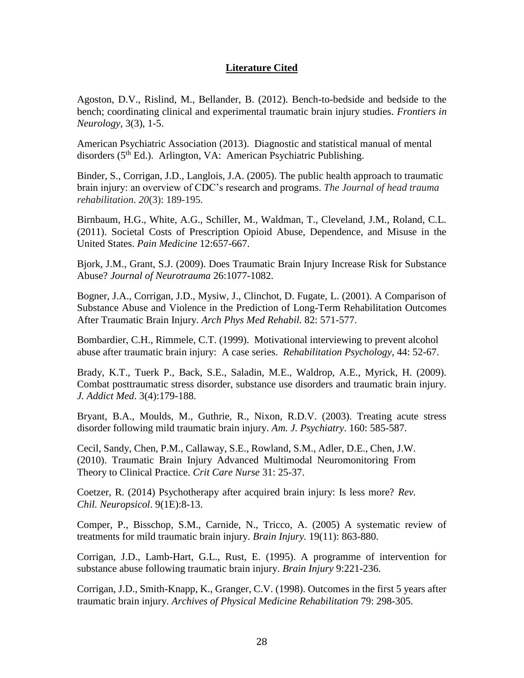## **Literature Cited**

Agoston, D.V., Rislind, M., Bellander, B. (2012). Bench-to-bedside and bedside to the bench; coordinating clinical and experimental traumatic brain injury studies. *Frontiers in Neurology,* 3(3), 1-5.

American Psychiatric Association (2013). Diagnostic and statistical manual of mental disorders (5<sup>th</sup> Ed.). Arlington, VA: American Psychiatric Publishing.

Binder, S., Corrigan, J.D., Langlois, J.A. (2005). The public health approach to traumatic brain injury: an overview of CDC's research and programs. *The Journal of head trauma rehabilitation*. *20*(3): 189-195.

Birnbaum, H.G., White, A.G., Schiller, M., Waldman, T., Cleveland, J.M., Roland, C.L. (2011). Societal Costs of Prescription Opioid Abuse, Dependence, and Misuse in the United States. *Pain Medicine* 12:657-667.

Bjork, J.M., Grant, S.J. (2009). Does Traumatic Brain Injury Increase Risk for Substance Abuse? *Journal of Neurotrauma* 26:1077-1082.

Bogner, J.A., Corrigan, J.D., Mysiw, J., Clinchot, D. Fugate, L. (2001). A Comparison of Substance Abuse and Violence in the Prediction of Long-Term Rehabilitation Outcomes After Traumatic Brain Injury. *Arch Phys Med Rehabil.* 82: 571-577.

Bombardier, C.H., Rimmele, C.T. (1999). Motivational interviewing to prevent alcohol abuse after traumatic brain injury: A case series. *Rehabilitation Psychology*, 44: 52-67.

Brady, K.T., Tuerk P., Back, S.E., Saladin, M.E., Waldrop, A.E., Myrick, H. (2009). Combat posttraumatic stress disorder, substance use disorders and traumatic brain injury. *J. Addict Med*. 3(4):179-188.

Bryant, B.A., Moulds, M., Guthrie, R., Nixon, R.D.V. (2003). Treating acute stress disorder following mild traumatic brain injury. *Am. J. Psychiatry*. 160: 585-587.

Cecil, Sandy, Chen, P.M., Callaway, S.E., Rowland, S.M., Adler, D.E., Chen, J.W. (2010). Traumatic Brain Injury Advanced Multimodal Neuromonitoring From Theory to Clinical Practice. *Crit Care Nurse* 31: 25-37.

Coetzer, R. (2014) Psychotherapy after acquired brain injury: Is less more? *Rev. Chil. Neuropsicol*. 9(1E):8-13.

Comper, P., Bisschop, S.M., Carnide, N., Tricco, A. (2005) A systematic review of treatments for mild traumatic brain injury. *Brain Injury.* 19(11): 863-880.

Corrigan, J.D., Lamb-Hart, G.L., Rust, E. (1995). A programme of intervention for substance abuse following traumatic brain injury. *Brain Injury* 9:221-236.

Corrigan, J.D., Smith-Knapp, K., Granger, C.V. (1998). Outcomes in the first 5 years after traumatic brain injury. *Archives of Physical Medicine Rehabilitation* 79: 298-305.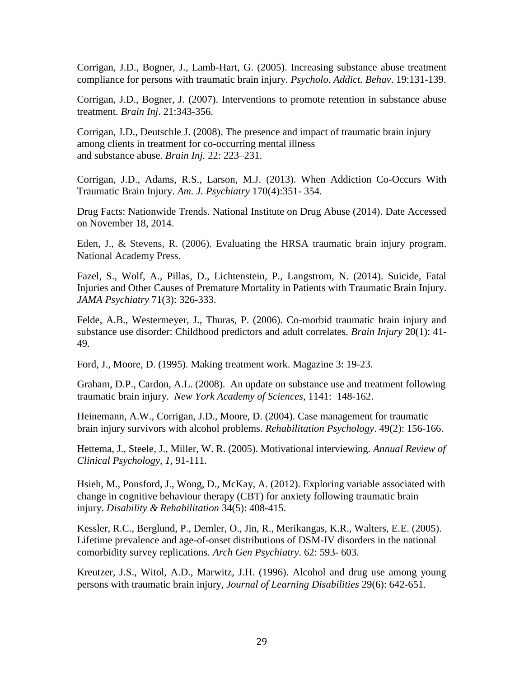Corrigan, J.D., Bogner, J., Lamb-Hart, G. (2005). Increasing substance abuse treatment compliance for persons with traumatic brain injury. *Psycholo. Addict. Behav*. 19:131-139.

Corrigan, J.D., Bogner, J. (2007). Interventions to promote retention in substance abuse treatment. *Brain Inj*. 21:343-356.

Corrigan, J.D., Deutschle J. (2008). The presence and impact of traumatic brain injury among clients in treatment for co-occurring mental illness and substance abuse. *Brain Inj.* 22: 223–231.

Corrigan, J.D., Adams, R.S., Larson, M.J. (2013). When Addiction Co-Occurs With Traumatic Brain Injury. *Am. J. Psychiatry* 170(4):351- 354.

Drug Facts: Nationwide Trends. National Institute on Drug Abuse (2014). Date Accessed on November 18, 2014.

Eden, J., & Stevens, R. (2006). Evaluating the HRSA traumatic brain injury program. National Academy Press.

Fazel, S., Wolf, A., Pillas, D., Lichtenstein, P., Langstrom, N. (2014). Suicide, Fatal Injuries and Other Causes of Premature Mortality in Patients with Traumatic Brain Injury. *JAMA Psychiatry* 71(3): 326-333.

Felde, A.B., Westermeyer, J., Thuras, P. (2006). Co-morbid traumatic brain injury and substance use disorder: Childhood predictors and adult correlates. *Brain Injury* 20(1): 41- 49.

Ford, J., Moore, D. (1995). Making treatment work. Magazine 3: 19-23.

Graham, D.P., Cardon, A.L. (2008). An update on substance use and treatment following traumatic brain injury. *New York Academy of Sciences*, 1141: 148-162.

Heinemann, A.W., Corrigan, J.D., Moore, D. (2004). Case management for traumatic brain injury survivors with alcohol problems. *Rehabilitation Psychology*. 49(2): 156-166.

Hettema, J., Steele, J., Miller, W. R. (2005). Motivational interviewing. *Annual Review of Clinical Psychology, 1*, 91-111.

Hsieh, M., Ponsford, J., Wong, D., McKay, A. (2012). Exploring variable associated with change in cognitive behaviour therapy (CBT) for anxiety following traumatic brain injury. *Disability & Rehabilitation* 34(5): 408-415.

Kessler, R.C., Berglund, P., Demler, O., Jin, R., Merikangas, K.R., Walters, E.E. (2005). Lifetime prevalence and age-of-onset distributions of DSM-IV disorders in the national comorbidity survey replications. *Arch Gen Psychiatry*. 62: 593- 603.

Kreutzer, J.S., Witol, A.D., Marwitz, J.H. (1996). Alcohol and drug use among young persons with traumatic brain injury, *Journal of Learning Disabilities* 29(6): 642-651.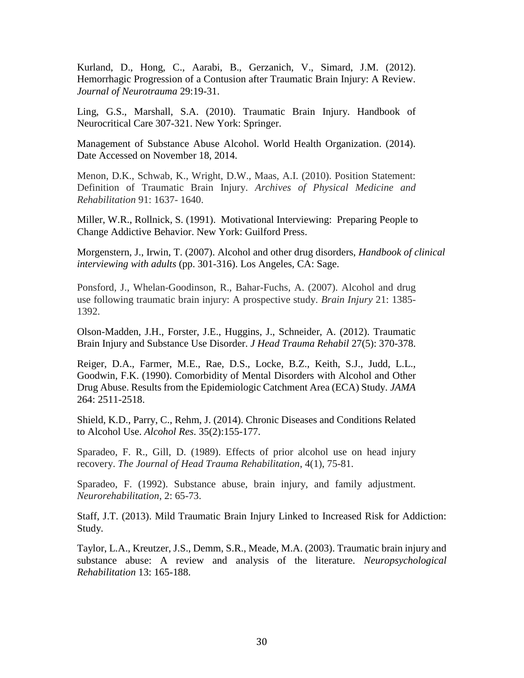Kurland, D., Hong, C., Aarabi, B., Gerzanich, V., Simard, J.M. (2012). Hemorrhagic Progression of a Contusion after Traumatic Brain Injury: A Review. *Journal of Neurotrauma* 29:19-31.

Ling, G.S., Marshall, S.A. (2010). Traumatic Brain Injury. Handbook of Neurocritical Care 307-321. New York: Springer.

Management of Substance Abuse Alcohol. World Health Organization. (2014). Date Accessed on November 18, 2014.

Menon, D.K., Schwab, K., Wright, D.W., Maas, A.I. (2010). Position Statement: Definition of Traumatic Brain Injury. *Archives of Physical Medicine and Rehabilitation* 91: 1637- 1640.

Miller, W.R., Rollnick, S. (1991). Motivational Interviewing: Preparing People to Change Addictive Behavior. New York: Guilford Press.

Morgenstern, J., Irwin, T. (2007). Alcohol and other drug disorders, *Handbook of clinical interviewing with adults* (pp. 301-316). Los Angeles, CA: Sage.

Ponsford, J., Whelan-Goodinson, R., Bahar-Fuchs, A. (2007). Alcohol and drug use following traumatic brain injury: A prospective study. *Brain Injury* 21: 1385- 1392.

Olson-Madden, J.H., Forster, J.E., Huggins, J., Schneider, A. (2012). Traumatic Brain Injury and Substance Use Disorder. *J Head Trauma Rehabil* 27(5): 370-378.

Reiger, D.A., Farmer, M.E., Rae, D.S., Locke, B.Z., Keith, S.J., Judd, L.L., Goodwin, F.K. (1990). Comorbidity of Mental Disorders with Alcohol and Other Drug Abuse. Results from the Epidemiologic Catchment Area (ECA) Study. *JAMA* 264: 2511-2518.

Shield, K.D., Parry, C., Rehm, J. (2014). Chronic Diseases and Conditions Related to Alcohol Use. *Alcohol Res*. 35(2):155-177.

Sparadeo, F. R., Gill, D. (1989). Effects of prior alcohol use on head injury recovery. *The Journal of Head Trauma Rehabilitation*, 4(1), 75-81.

Sparadeo, F. (1992). Substance abuse, brain injury, and family adjustment. *Neurorehabilitation*, 2: 65-73.

Staff, J.T. (2013). Mild Traumatic Brain Injury Linked to Increased Risk for Addiction: Study.

Taylor, L.A., Kreutzer, J.S., Demm, S.R., Meade, M.A. (2003). Traumatic brain injury and substance abuse: A review and analysis of the literature. *Neuropsychological Rehabilitation* 13: 165-188.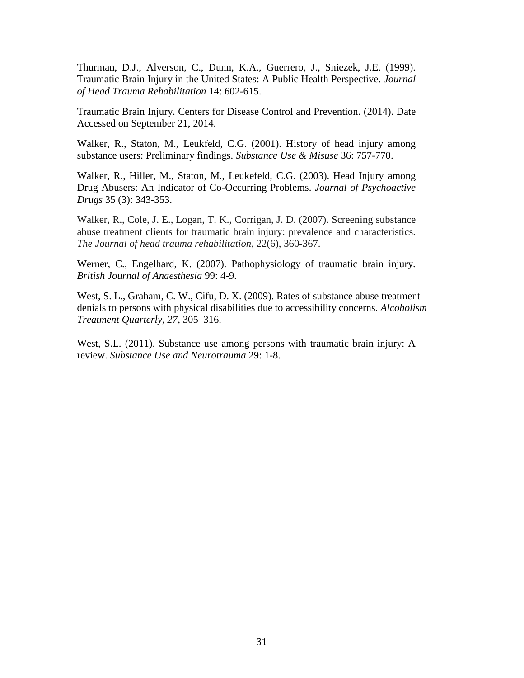Thurman, D.J., Alverson, C., Dunn, K.A., Guerrero, J., Sniezek, J.E. (1999). Traumatic Brain Injury in the United States: A Public Health Perspective. *Journal of Head Trauma Rehabilitation* 14: 602-615.

Traumatic Brain Injury. Centers for Disease Control and Prevention. (2014). Date Accessed on September 21, 2014.

Walker, R., Staton, M., Leukfeld, C.G. (2001). History of head injury among substance users: Preliminary findings. *Substance Use & Misuse* 36: 757-770.

Walker, R., Hiller, M., Staton, M., Leukefeld, C.G. (2003). Head Injury among Drug Abusers: An Indicator of Co-Occurring Problems. *Journal of Psychoactive Drugs* 35 (3): 343-353.

Walker, R., Cole, J. E., Logan, T. K., Corrigan, J. D. (2007). Screening substance abuse treatment clients for traumatic brain injury: prevalence and characteristics. *The Journal of head trauma rehabilitation*, 22(6), 360-367.

Werner, C., Engelhard, K. (2007). Pathophysiology of traumatic brain injury. *British Journal of Anaesthesia* 99: 4-9.

West, S. L., Graham, C. W., Cifu, D. X. (2009). Rates of substance abuse treatment denials to persons with physical disabilities due to accessibility concerns. *Alcoholism Treatment Quarterly, 27*, 305–316.

West, S.L. (2011). Substance use among persons with traumatic brain injury: A review. *Substance Use and Neurotrauma* 29: 1-8.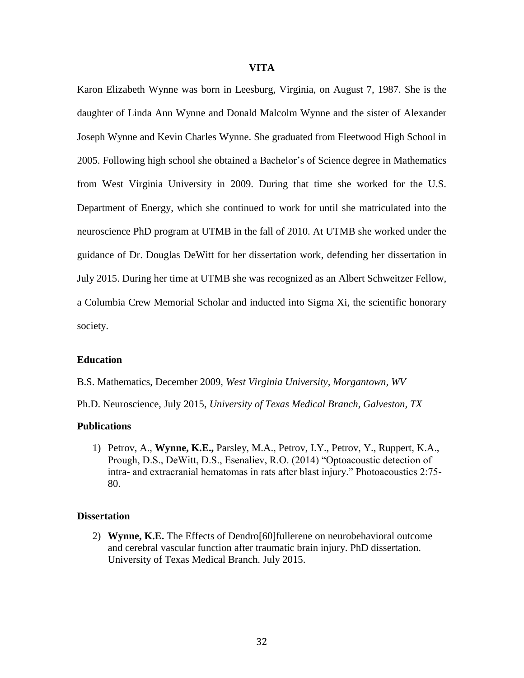#### **VITA**

Karon Elizabeth Wynne was born in Leesburg, Virginia, on August 7, 1987. She is the daughter of Linda Ann Wynne and Donald Malcolm Wynne and the sister of Alexander Joseph Wynne and Kevin Charles Wynne. She graduated from Fleetwood High School in 2005. Following high school she obtained a Bachelor's of Science degree in Mathematics from West Virginia University in 2009. During that time she worked for the U.S. Department of Energy, which she continued to work for until she matriculated into the neuroscience PhD program at UTMB in the fall of 2010. At UTMB she worked under the guidance of Dr. Douglas DeWitt for her dissertation work, defending her dissertation in July 2015. During her time at UTMB she was recognized as an Albert Schweitzer Fellow, a Columbia Crew Memorial Scholar and inducted into Sigma Xi, the scientific honorary society.

#### **Education**

B.S. Mathematics, December 2009, *West Virginia University, Morgantown, WV*

Ph.D. Neuroscience, July 2015, *University of Texas Medical Branch, Galveston, TX*

#### **Publications**

1) Petrov, A., **Wynne, K.E.,** Parsley, M.A., Petrov, I.Y., Petrov, Y., Ruppert, K.A., Prough, D.S., DeWitt, D.S., Esenaliev, R.O. (2014) "Optoacoustic detection of intra- and extracranial hematomas in rats after blast injury." Photoacoustics 2:75- 80.

#### **Dissertation**

2) **Wynne, K.E.** The Effects of Dendro[60]fullerene on neurobehavioral outcome and cerebral vascular function after traumatic brain injury. PhD dissertation. University of Texas Medical Branch. July 2015.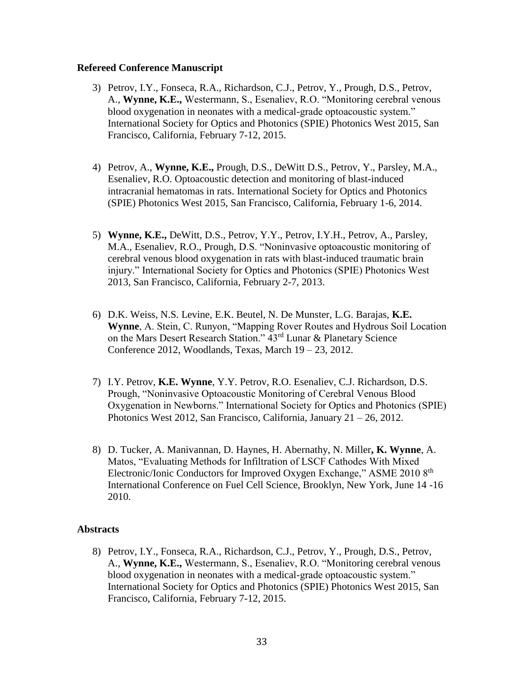### **Refereed Conference Manuscript**

- 3) Petrov, I.Y., Fonseca, R.A., Richardson, C.J., Petrov, Y., Prough, D.S., Petrov, A., **Wynne, K.E.,** Westermann, S., Esenaliev, R.O. "Monitoring cerebral venous blood oxygenation in neonates with a medical-grade optoacoustic system." International Society for Optics and Photonics (SPIE) Photonics West 2015, San Francisco, California, February 7-12, 2015.
- 4) Petrov, A., **Wynne, K.E.,** Prough, D.S., DeWitt D.S., Petrov, Y., Parsley, M.A., Esenaliev, R.O. Optoacoustic detection and monitoring of blast-induced intracranial hematomas in rats. International Society for Optics and Photonics (SPIE) Photonics West 2015, San Francisco, California, February 1-6, 2014.
- 5) **Wynne, K.E.,** DeWitt, D.S., Petrov, Y.Y., Petrov, I.Y.H., Petrov, A., Parsley, M.A., Esenaliev, R.O., Prough, D.S. "Noninvasive optoacoustic monitoring of cerebral venous blood oxygenation in rats with blast-induced traumatic brain injury." International Society for Optics and Photonics (SPIE) Photonics West 2013, San Francisco, California, February 2-7, 2013.
- 6) D.K. Weiss, N.S. Levine, E.K. Beutel, N. De Munster, L.G. Barajas, **K.E. Wynne**, A. Stein, C. Runyon, "Mapping Rover Routes and Hydrous Soil Location on the Mars Desert Research Station." 43<sup>rd</sup> Lunar & Planetary Science Conference 2012, Woodlands, Texas, March 19 – 23, 2012.
- 7) I.Y. Petrov, **K.E. Wynne**, Y.Y. Petrov, R.O. Esenaliev, C.J. Richardson, D.S. Prough, "Noninvasive Optoacoustic Monitoring of Cerebral Venous Blood Oxygenation in Newborns." International Society for Optics and Photonics (SPIE) Photonics West 2012, San Francisco, California, January 21 – 26, 2012.
- 8) D. Tucker, A. Manivannan, D. Haynes, H. Abernathy, N. Miller**, K. Wynne**, A. Matos, "Evaluating Methods for Infiltration of LSCF Cathodes With Mixed Electronic/Ionic Conductors for Improved Oxygen Exchange," ASME 2010 8<sup>th</sup> International Conference on Fuel Cell Science, Brooklyn, New York, June 14 -16 2010.

### **Abstracts**

8) Petrov, I.Y., Fonseca, R.A., Richardson, C.J., Petrov, Y., Prough, D.S., Petrov, A., **Wynne, K.E.,** Westermann, S., Esenaliev, R.O. "Monitoring cerebral venous blood oxygenation in neonates with a medical-grade optoacoustic system." International Society for Optics and Photonics (SPIE) Photonics West 2015, San Francisco, California, February 7-12, 2015.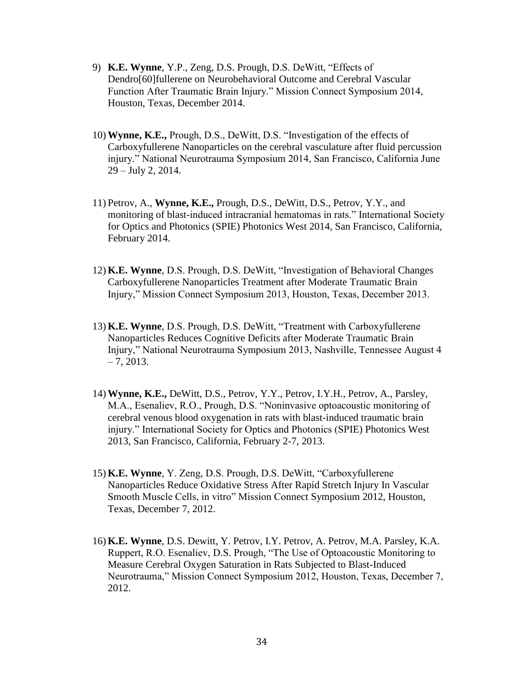- 9) **K.E. Wynne**, Y.P., Zeng, D.S. Prough, D.S. DeWitt, "Effects of Dendro[60]fullerene on Neurobehavioral Outcome and Cerebral Vascular Function After Traumatic Brain Injury." Mission Connect Symposium 2014, Houston, Texas, December 2014.
- 10) **Wynne, K.E.,** Prough, D.S., DeWitt, D.S. "Investigation of the effects of Carboxyfullerene Nanoparticles on the cerebral vasculature after fluid percussion injury." National Neurotrauma Symposium 2014, San Francisco, California June 29 – July 2, 2014.
- 11) Petrov, A., **Wynne, K.E.,** Prough, D.S., DeWitt, D.S., Petrov, Y.Y., and monitoring of blast-induced intracranial hematomas in rats." International Society for Optics and Photonics (SPIE) Photonics West 2014, San Francisco, California, February 2014.
- 12) **K.E. Wynne**, D.S. Prough, D.S. DeWitt, "Investigation of Behavioral Changes Carboxyfullerene Nanoparticles Treatment after Moderate Traumatic Brain Injury," Mission Connect Symposium 2013, Houston, Texas, December 2013.
- 13) **K.E. Wynne**, D.S. Prough, D.S. DeWitt, "Treatment with Carboxyfullerene Nanoparticles Reduces Cognitive Deficits after Moderate Traumatic Brain Injury," National Neurotrauma Symposium 2013, Nashville, Tennessee August 4  $-7, 2013.$
- 14) **Wynne, K.E.,** DeWitt, D.S., Petrov, Y.Y., Petrov, I.Y.H., Petrov, A., Parsley, M.A., Esenaliev, R.O., Prough, D.S. "Noninvasive optoacoustic monitoring of cerebral venous blood oxygenation in rats with blast-induced traumatic brain injury." International Society for Optics and Photonics (SPIE) Photonics West 2013, San Francisco, California, February 2-7, 2013.
- 15) **K.E. Wynne**, Y. Zeng, D.S. Prough, D.S. DeWitt, "Carboxyfullerene Nanoparticles Reduce Oxidative Stress After Rapid Stretch Injury In Vascular Smooth Muscle Cells, in vitro" Mission Connect Symposium 2012, Houston, Texas, December 7, 2012.
- 16) **K.E. Wynne**, D.S. Dewitt, Y. Petrov, I.Y. Petrov, A. Petrov, M.A. Parsley, K.A. Ruppert, R.O. Esenaliev, D.S. Prough, "The Use of Optoacoustic Monitoring to Measure Cerebral Oxygen Saturation in Rats Subjected to Blast-Induced Neurotrauma," Mission Connect Symposium 2012, Houston, Texas, December 7, 2012.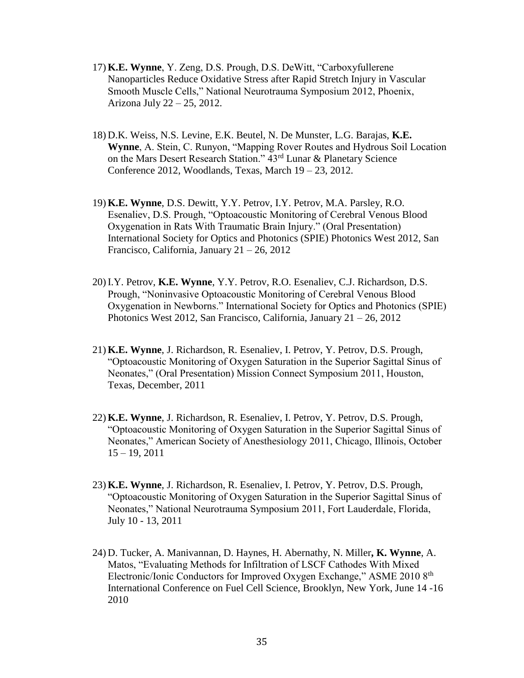- 17) **K.E. Wynne**, Y. Zeng, D.S. Prough, D.S. DeWitt, "Carboxyfullerene Nanoparticles Reduce Oxidative Stress after Rapid Stretch Injury in Vascular Smooth Muscle Cells," National Neurotrauma Symposium 2012, Phoenix, Arizona July 22 – 25, 2012.
- 18) D.K. Weiss, N.S. Levine, E.K. Beutel, N. De Munster, L.G. Barajas, **K.E. Wynne**, A. Stein, C. Runyon, "Mapping Rover Routes and Hydrous Soil Location on the Mars Desert Research Station." 43rd Lunar & Planetary Science Conference 2012, Woodlands, Texas, March 19 – 23, 2012.
- 19) **K.E. Wynne**, D.S. Dewitt, Y.Y. Petrov, I.Y. Petrov, M.A. Parsley, R.O. Esenaliev, D.S. Prough, "Optoacoustic Monitoring of Cerebral Venous Blood Oxygenation in Rats With Traumatic Brain Injury." (Oral Presentation) International Society for Optics and Photonics (SPIE) Photonics West 2012, San Francisco, California, January 21 – 26, 2012
- 20) I.Y. Petrov, **K.E. Wynne**, Y.Y. Petrov, R.O. Esenaliev, C.J. Richardson, D.S. Prough, "Noninvasive Optoacoustic Monitoring of Cerebral Venous Blood Oxygenation in Newborns." International Society for Optics and Photonics (SPIE) Photonics West 2012, San Francisco, California, January 21 – 26, 2012
- 21) **K.E. Wynne**, J. Richardson, R. Esenaliev, I. Petrov, Y. Petrov, D.S. Prough, "Optoacoustic Monitoring of Oxygen Saturation in the Superior Sagittal Sinus of Neonates," (Oral Presentation) Mission Connect Symposium 2011, Houston, Texas, December, 2011
- 22) **K.E. Wynne**, J. Richardson, R. Esenaliev, I. Petrov, Y. Petrov, D.S. Prough, "Optoacoustic Monitoring of Oxygen Saturation in the Superior Sagittal Sinus of Neonates," American Society of Anesthesiology 2011, Chicago, Illinois, October 15 – 19, 2011
- 23) **K.E. Wynne**, J. Richardson, R. Esenaliev, I. Petrov, Y. Petrov, D.S. Prough, "Optoacoustic Monitoring of Oxygen Saturation in the Superior Sagittal Sinus of Neonates," National Neurotrauma Symposium 2011, Fort Lauderdale, Florida, July 10 - 13, 2011
- 24) D. Tucker, A. Manivannan, D. Haynes, H. Abernathy, N. Miller**, K. Wynne**, A. Matos, "Evaluating Methods for Infiltration of LSCF Cathodes With Mixed Electronic/Ionic Conductors for Improved Oxygen Exchange," ASME 2010 8<sup>th</sup> International Conference on Fuel Cell Science, Brooklyn, New York, June 14 -16 2010